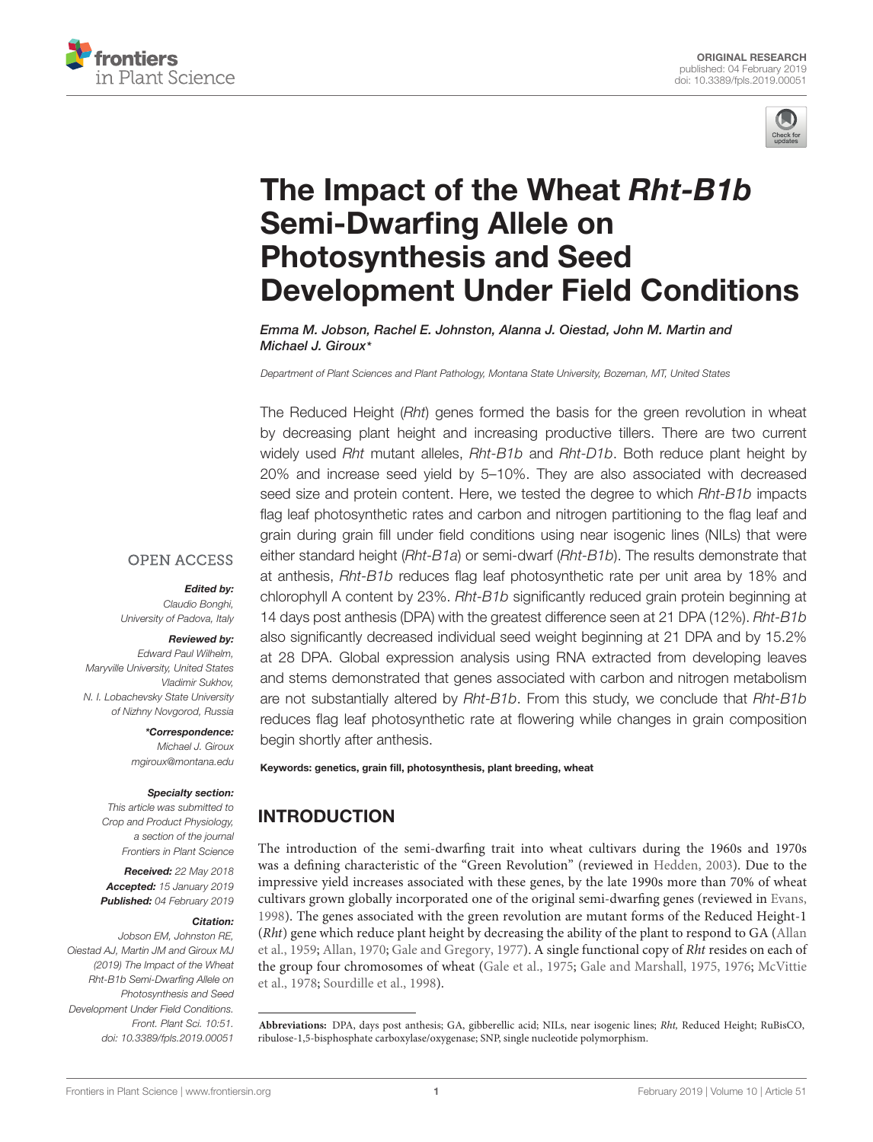



# The Impact of the Wheat Rht-B1b Semi-Dwarfing Allele on Photosynthesis and Seed [Development Under Field Conditions](https://www.frontiersin.org/articles/10.3389/fpls.2019.00051/full)

[Emma M. Jobson,](http://loop.frontiersin.org/people/583334/overview) Rachel E. Johnston, [Alanna J. Oiestad,](http://loop.frontiersin.org/people/661179/overview) [John M. Martin](http://loop.frontiersin.org/people/587143/overview) and [Michael J. Giroux](http://loop.frontiersin.org/people/457747/overview)\*

Department of Plant Sciences and Plant Pathology, Montana State University, Bozeman, MT, United States

The Reduced Height (Rht) genes formed the basis for the green revolution in wheat by decreasing plant height and increasing productive tillers. There are two current widely used Rht mutant alleles, Rht-B1b and Rht-D1b. Both reduce plant height by 20% and increase seed yield by 5–10%. They are also associated with decreased seed size and protein content. Here, we tested the degree to which Rht-B1b impacts flag leaf photosynthetic rates and carbon and nitrogen partitioning to the flag leaf and grain during grain fill under field conditions using near isogenic lines (NILs) that were either standard height (Rht-B1a) or semi-dwarf (Rht-B1b). The results demonstrate that at anthesis, Rht-B1b reduces flag leaf photosynthetic rate per unit area by 18% and chlorophyll A content by 23%. Rht-B1b significantly reduced grain protein beginning at 14 days post anthesis (DPA) with the greatest difference seen at 21 DPA (12%). Rht-B1b also significantly decreased individual seed weight beginning at 21 DPA and by 15.2% at 28 DPA. Global expression analysis using RNA extracted from developing leaves and stems demonstrated that genes associated with carbon and nitrogen metabolism are not substantially altered by Rht-B1b. From this study, we conclude that Rht-B1b reduces flag leaf photosynthetic rate at flowering while changes in grain composition begin shortly after anthesis.

Keywords: genetics, grain fill, photosynthesis, plant breeding, wheat

# INTRODUCTION

The introduction of the semi-dwarfing trait into wheat cultivars during the 1960s and 1970s was a defining characteristic of the "Green Revolution" (reviewed in [Hedden,](#page-9-0) [2003\)](#page-9-0). Due to the impressive yield increases associated with these genes, by the late 1990s more than 70% of wheat cultivars grown globally incorporated one of the original semi-dwarfing genes (reviewed in [Evans,](#page-9-1) [1998\)](#page-9-1). The genes associated with the green revolution are mutant forms of the Reduced Height-1 (Rht) gene which reduce plant height by decreasing the ability of the plant to respond to GA [\(Allan](#page-9-2) [et al.,](#page-9-2) [1959;](#page-9-2) [Allan,](#page-9-3) [1970;](#page-9-3) [Gale and Gregory,](#page-9-4) [1977\)](#page-9-4). A single functional copy of Rht resides on each of the group four chromosomes of wheat [\(Gale et al.,](#page-9-5) [1975;](#page-9-5) [Gale and Marshall,](#page-9-6) [1975,](#page-9-6) [1976;](#page-9-7) [McVittie](#page-10-0) [et al.,](#page-10-0) [1978;](#page-10-0) [Sourdille et al.,](#page-10-1) [1998\)](#page-10-1).

#### **OPEN ACCESS**

#### Edited by:

Claudio Bonghi, University of Padova, Italy

#### Reviewed by:

Edward Paul Wilhelm, Maryville University, United States Vladimir Sukhov, N. I. Lobachevsky State University of Nizhny Novgorod, Russia

> \*Correspondence: Michael J. Giroux mgiroux@montana.edu

#### Specialty section:

This article was submitted to Crop and Product Physiology, a section of the journal Frontiers in Plant Science

Received: 22 May 2018 Accepted: 15 January 2019 Published: 04 February 2019

#### Citation:

Jobson EM, Johnston RE, Oiestad AJ, Martin JM and Giroux MJ (2019) The Impact of the Wheat Rht-B1b Semi-Dwarfing Allele on Photosynthesis and Seed Development Under Field Conditions. Front. Plant Sci. 10:51. doi: [10.3389/fpls.2019.00051](https://doi.org/10.3389/fpls.2019.00051)

**Abbreviations:** DPA, days post anthesis; GA, gibberellic acid; NILs, near isogenic lines; Rht, Reduced Height; RuBisCO, ribulose-1,5-bisphosphate carboxylase/oxygenase; SNP, single nucleotide polymorphism.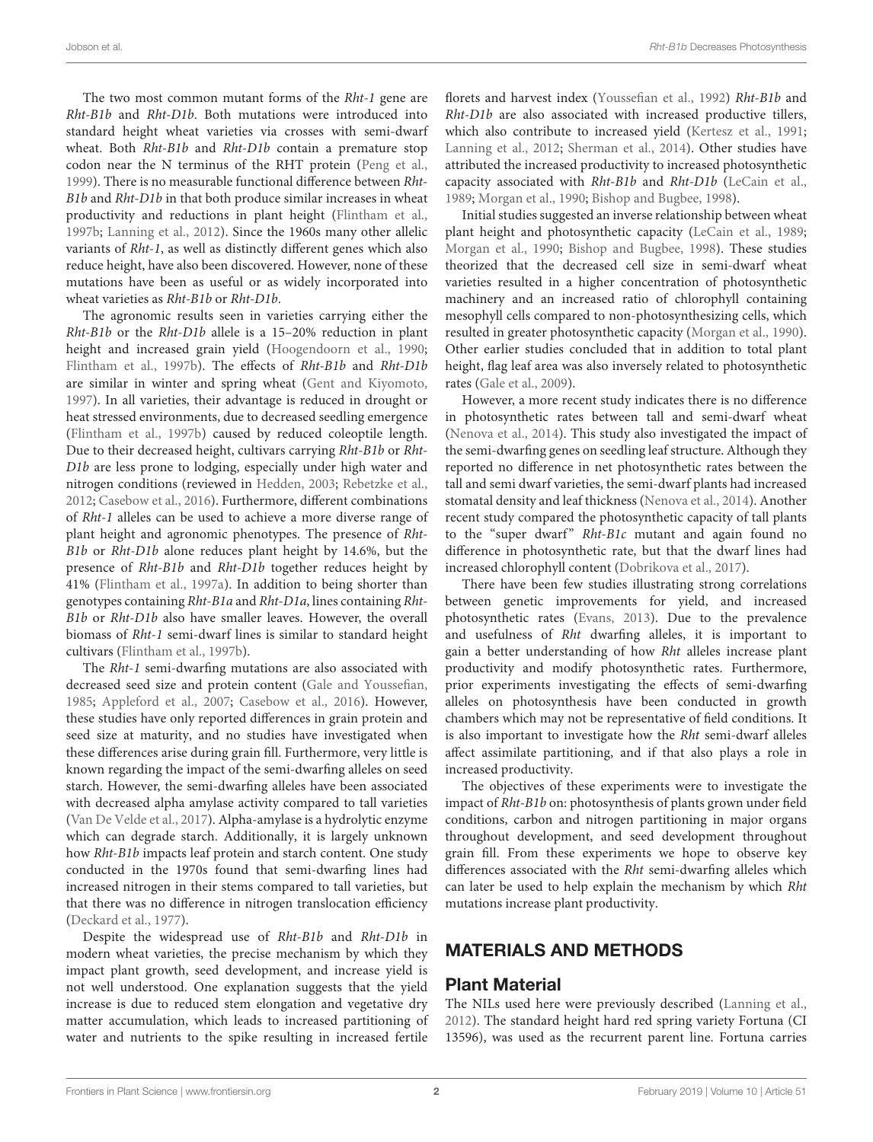The two most common mutant forms of the Rht-1 gene are Rht-B1b and Rht-D1b. Both mutations were introduced into standard height wheat varieties via crosses with semi-dwarf wheat. Both Rht-B1b and Rht-D1b contain a premature stop codon near the N terminus of the RHT protein [\(Peng et al.,](#page-10-2) [1999\)](#page-10-2). There is no measurable functional difference between Rht-B1b and Rht-D1b in that both produce similar increases in wheat productivity and reductions in plant height [\(Flintham et al.,](#page-9-8) [1997b;](#page-9-8) [Lanning et al.,](#page-9-9) [2012\)](#page-9-9). Since the 1960s many other allelic variants of Rht-1, as well as distinctly different genes which also reduce height, have also been discovered. However, none of these mutations have been as useful or as widely incorporated into wheat varieties as Rht-B1b or Rht-D1b.

The agronomic results seen in varieties carrying either the Rht-B1b or the Rht-D1b allele is a 15–20% reduction in plant height and increased grain yield [\(Hoogendoorn et al.,](#page-9-10) [1990;](#page-9-10) [Flintham et al.,](#page-9-8) [1997b\)](#page-9-8). The effects of Rht-B1b and Rht-D1b are similar in winter and spring wheat [\(Gent and Kiyomoto,](#page-9-11) [1997\)](#page-9-11). In all varieties, their advantage is reduced in drought or heat stressed environments, due to decreased seedling emergence [\(Flintham et al.,](#page-9-8) [1997b\)](#page-9-8) caused by reduced coleoptile length. Due to their decreased height, cultivars carrying Rht-B1b or Rht-D1b are less prone to lodging, especially under high water and nitrogen conditions (reviewed in [Hedden,](#page-9-0) [2003;](#page-9-0) [Rebetzke et al.,](#page-10-3) [2012;](#page-10-3) [Casebow et al.,](#page-9-12) [2016\)](#page-9-12). Furthermore, different combinations of Rht-1 alleles can be used to achieve a more diverse range of plant height and agronomic phenotypes. The presence of Rht-B1b or Rht-D1b alone reduces plant height by 14.6%, but the presence of Rht-B1b and Rht-D1b together reduces height by 41% [\(Flintham et al.,](#page-9-13) [1997a\)](#page-9-13). In addition to being shorter than genotypes containing Rht-B1a and Rht-D1a, lines containing Rht-B1b or Rht-D1b also have smaller leaves. However, the overall biomass of Rht-1 semi-dwarf lines is similar to standard height cultivars [\(Flintham et al.,](#page-9-8) [1997b\)](#page-9-8).

The Rht-1 semi-dwarfing mutations are also associated with decreased seed size and protein content [\(Gale and Youssefian,](#page-9-14) [1985;](#page-9-14) [Appleford et al.,](#page-9-15) [2007;](#page-9-15) [Casebow et al.,](#page-9-12) [2016\)](#page-9-12). However, these studies have only reported differences in grain protein and seed size at maturity, and no studies have investigated when these differences arise during grain fill. Furthermore, very little is known regarding the impact of the semi-dwarfing alleles on seed starch. However, the semi-dwarfing alleles have been associated with decreased alpha amylase activity compared to tall varieties [\(Van De Velde et al.,](#page-10-4) [2017\)](#page-10-4). Alpha-amylase is a hydrolytic enzyme which can degrade starch. Additionally, it is largely unknown how Rht-B1b impacts leaf protein and starch content. One study conducted in the 1970s found that semi-dwarfing lines had increased nitrogen in their stems compared to tall varieties, but that there was no difference in nitrogen translocation efficiency [\(Deckard et al.,](#page-9-16) [1977\)](#page-9-16).

Despite the widespread use of Rht-B1b and Rht-D1b in modern wheat varieties, the precise mechanism by which they impact plant growth, seed development, and increase yield is not well understood. One explanation suggests that the yield increase is due to reduced stem elongation and vegetative dry matter accumulation, which leads to increased partitioning of water and nutrients to the spike resulting in increased fertile florets and harvest index [\(Youssefian et al.,](#page-10-5) [1992\)](#page-10-5) Rht-B1b and Rht-D1b are also associated with increased productive tillers, which also contribute to increased yield [\(Kertesz et al.,](#page-9-17) [1991;](#page-9-17) [Lanning et al.,](#page-9-9) [2012;](#page-9-9) [Sherman et al.,](#page-10-6) [2014\)](#page-10-6). Other studies have attributed the increased productivity to increased photosynthetic capacity associated with Rht-B1b and Rht-D1b [\(LeCain et al.,](#page-9-18) [1989;](#page-9-18) [Morgan et al.,](#page-10-7) [1990;](#page-10-7) [Bishop and Bugbee,](#page-9-19) [1998\)](#page-9-19).

Initial studies suggested an inverse relationship between wheat plant height and photosynthetic capacity [\(LeCain et al.,](#page-9-18) [1989;](#page-9-18) [Morgan et al.,](#page-10-7) [1990;](#page-10-7) [Bishop and Bugbee,](#page-9-19) [1998\)](#page-9-19). These studies theorized that the decreased cell size in semi-dwarf wheat varieties resulted in a higher concentration of photosynthetic machinery and an increased ratio of chlorophyll containing mesophyll cells compared to non-photosynthesizing cells, which resulted in greater photosynthetic capacity [\(Morgan et al.,](#page-10-7) [1990\)](#page-10-7). Other earlier studies concluded that in addition to total plant height, flag leaf area was also inversely related to photosynthetic rates [\(Gale et al.,](#page-9-20) [2009\)](#page-9-20).

However, a more recent study indicates there is no difference in photosynthetic rates between tall and semi-dwarf wheat [\(Nenova et al.,](#page-10-8) [2014\)](#page-10-8). This study also investigated the impact of the semi-dwarfing genes on seedling leaf structure. Although they reported no difference in net photosynthetic rates between the tall and semi dwarf varieties, the semi-dwarf plants had increased stomatal density and leaf thickness [\(Nenova et al.,](#page-10-8) [2014\)](#page-10-8). Another recent study compared the photosynthetic capacity of tall plants to the "super dwarf" Rht-B1c mutant and again found no difference in photosynthetic rate, but that the dwarf lines had increased chlorophyll content [\(Dobrikova et al.,](#page-9-21) [2017\)](#page-9-21).

There have been few studies illustrating strong correlations between genetic improvements for yield, and increased photosynthetic rates [\(Evans,](#page-9-22) [2013\)](#page-9-22). Due to the prevalence and usefulness of Rht dwarfing alleles, it is important to gain a better understanding of how Rht alleles increase plant productivity and modify photosynthetic rates. Furthermore, prior experiments investigating the effects of semi-dwarfing alleles on photosynthesis have been conducted in growth chambers which may not be representative of field conditions. It is also important to investigate how the Rht semi-dwarf alleles affect assimilate partitioning, and if that also plays a role in increased productivity.

The objectives of these experiments were to investigate the impact of Rht-B1b on: photosynthesis of plants grown under field conditions, carbon and nitrogen partitioning in major organs throughout development, and seed development throughout grain fill. From these experiments we hope to observe key differences associated with the Rht semi-dwarfing alleles which can later be used to help explain the mechanism by which Rht mutations increase plant productivity.

## MATERIALS AND METHODS

## Plant Material

The NILs used here were previously described [\(Lanning et al.,](#page-9-9) [2012\)](#page-9-9). The standard height hard red spring variety Fortuna (CI 13596), was used as the recurrent parent line. Fortuna carries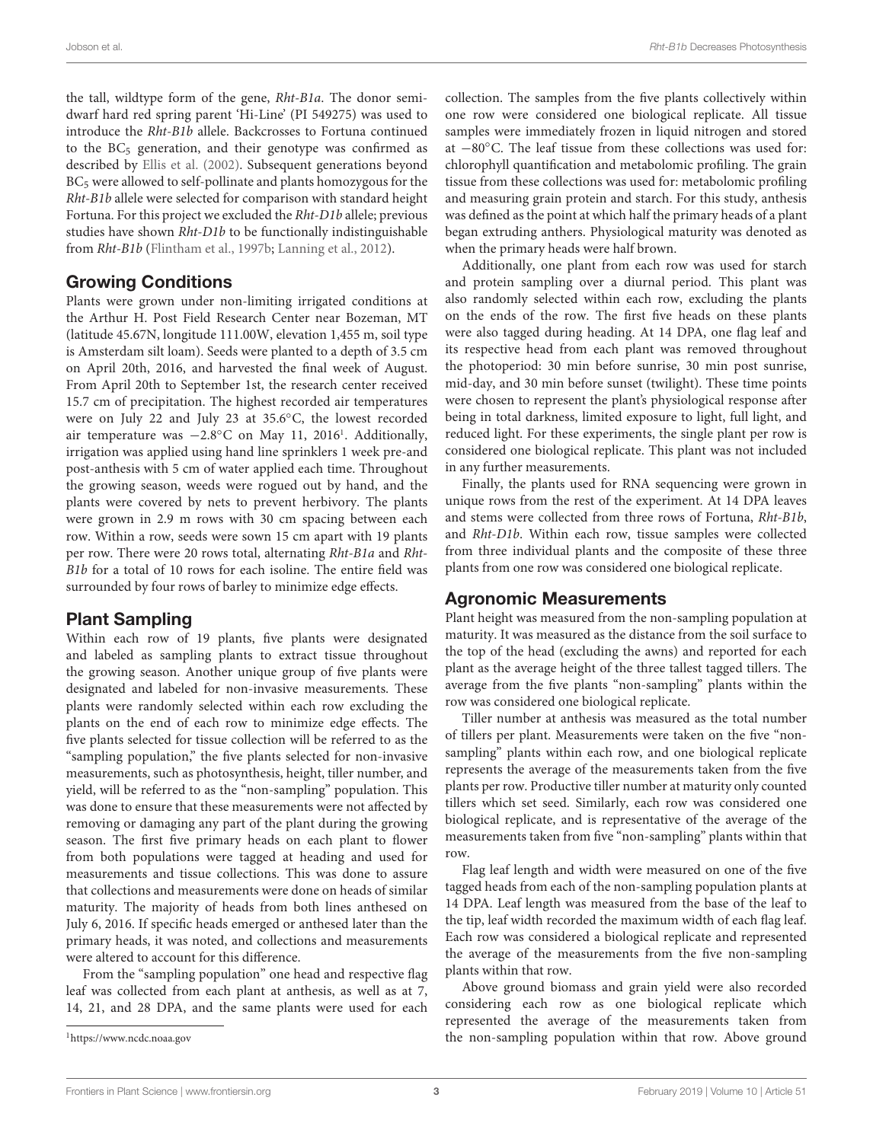the tall, wildtype form of the gene, Rht-B1a. The donor semidwarf hard red spring parent 'Hi-Line' (PI 549275) was used to introduce the Rht-B1b allele. Backcrosses to Fortuna continued to the  $BC_5$  generation, and their genotype was confirmed as described by [Ellis et al.](#page-9-23) [\(2002\)](#page-9-23). Subsequent generations beyond BC<sub>5</sub> were allowed to self-pollinate and plants homozygous for the Rht-B1b allele were selected for comparison with standard height Fortuna. For this project we excluded the Rht-D1b allele; previous studies have shown Rht-D1b to be functionally indistinguishable from Rht-B1b [\(Flintham et al.,](#page-9-8) [1997b;](#page-9-8) [Lanning et al.,](#page-9-9) [2012\)](#page-9-9).

#### Growing Conditions

Plants were grown under non-limiting irrigated conditions at the Arthur H. Post Field Research Center near Bozeman, MT (latitude 45.67N, longitude 111.00W, elevation 1,455 m, soil type is Amsterdam silt loam). Seeds were planted to a depth of 3.5 cm on April 20th, 2016, and harvested the final week of August. From April 20th to September 1st, the research center received 15.7 cm of precipitation. The highest recorded air temperatures were on July 22 and July 23 at 35.6◦C, the lowest recorded air temperature was  $-2.8$ °C on May [1](#page-2-0)1, 2016<sup>1</sup>. Additionally, irrigation was applied using hand line sprinklers 1 week pre-and post-anthesis with 5 cm of water applied each time. Throughout the growing season, weeds were rogued out by hand, and the plants were covered by nets to prevent herbivory. The plants were grown in 2.9 m rows with 30 cm spacing between each row. Within a row, seeds were sown 15 cm apart with 19 plants per row. There were 20 rows total, alternating Rht-B1a and Rht-B1b for a total of 10 rows for each isoline. The entire field was surrounded by four rows of barley to minimize edge effects.

## Plant Sampling

Within each row of 19 plants, five plants were designated and labeled as sampling plants to extract tissue throughout the growing season. Another unique group of five plants were designated and labeled for non-invasive measurements. These plants were randomly selected within each row excluding the plants on the end of each row to minimize edge effects. The five plants selected for tissue collection will be referred to as the "sampling population," the five plants selected for non-invasive measurements, such as photosynthesis, height, tiller number, and yield, will be referred to as the "non-sampling" population. This was done to ensure that these measurements were not affected by removing or damaging any part of the plant during the growing season. The first five primary heads on each plant to flower from both populations were tagged at heading and used for measurements and tissue collections. This was done to assure that collections and measurements were done on heads of similar maturity. The majority of heads from both lines anthesed on July 6, 2016. If specific heads emerged or anthesed later than the primary heads, it was noted, and collections and measurements were altered to account for this difference.

From the "sampling population" one head and respective flag leaf was collected from each plant at anthesis, as well as at 7, 14, 21, and 28 DPA, and the same plants were used for each

collection. The samples from the five plants collectively within one row were considered one biological replicate. All tissue samples were immediately frozen in liquid nitrogen and stored at −80◦C. The leaf tissue from these collections was used for: chlorophyll quantification and metabolomic profiling. The grain tissue from these collections was used for: metabolomic profiling and measuring grain protein and starch. For this study, anthesis was defined as the point at which half the primary heads of a plant began extruding anthers. Physiological maturity was denoted as when the primary heads were half brown.

Additionally, one plant from each row was used for starch and protein sampling over a diurnal period. This plant was also randomly selected within each row, excluding the plants on the ends of the row. The first five heads on these plants were also tagged during heading. At 14 DPA, one flag leaf and its respective head from each plant was removed throughout the photoperiod: 30 min before sunrise, 30 min post sunrise, mid-day, and 30 min before sunset (twilight). These time points were chosen to represent the plant's physiological response after being in total darkness, limited exposure to light, full light, and reduced light. For these experiments, the single plant per row is considered one biological replicate. This plant was not included in any further measurements.

Finally, the plants used for RNA sequencing were grown in unique rows from the rest of the experiment. At 14 DPA leaves and stems were collected from three rows of Fortuna, Rht-B1b, and Rht-D1b. Within each row, tissue samples were collected from three individual plants and the composite of these three plants from one row was considered one biological replicate.

## Agronomic Measurements

Plant height was measured from the non-sampling population at maturity. It was measured as the distance from the soil surface to the top of the head (excluding the awns) and reported for each plant as the average height of the three tallest tagged tillers. The average from the five plants "non-sampling" plants within the row was considered one biological replicate.

Tiller number at anthesis was measured as the total number of tillers per plant. Measurements were taken on the five "nonsampling" plants within each row, and one biological replicate represents the average of the measurements taken from the five plants per row. Productive tiller number at maturity only counted tillers which set seed. Similarly, each row was considered one biological replicate, and is representative of the average of the measurements taken from five "non-sampling" plants within that row.

Flag leaf length and width were measured on one of the five tagged heads from each of the non-sampling population plants at 14 DPA. Leaf length was measured from the base of the leaf to the tip, leaf width recorded the maximum width of each flag leaf. Each row was considered a biological replicate and represented the average of the measurements from the five non-sampling plants within that row.

Above ground biomass and grain yield were also recorded considering each row as one biological replicate which represented the average of the measurements taken from the non-sampling population within that row. Above ground

<span id="page-2-0"></span><sup>1</sup><https://www.ncdc.noaa.gov>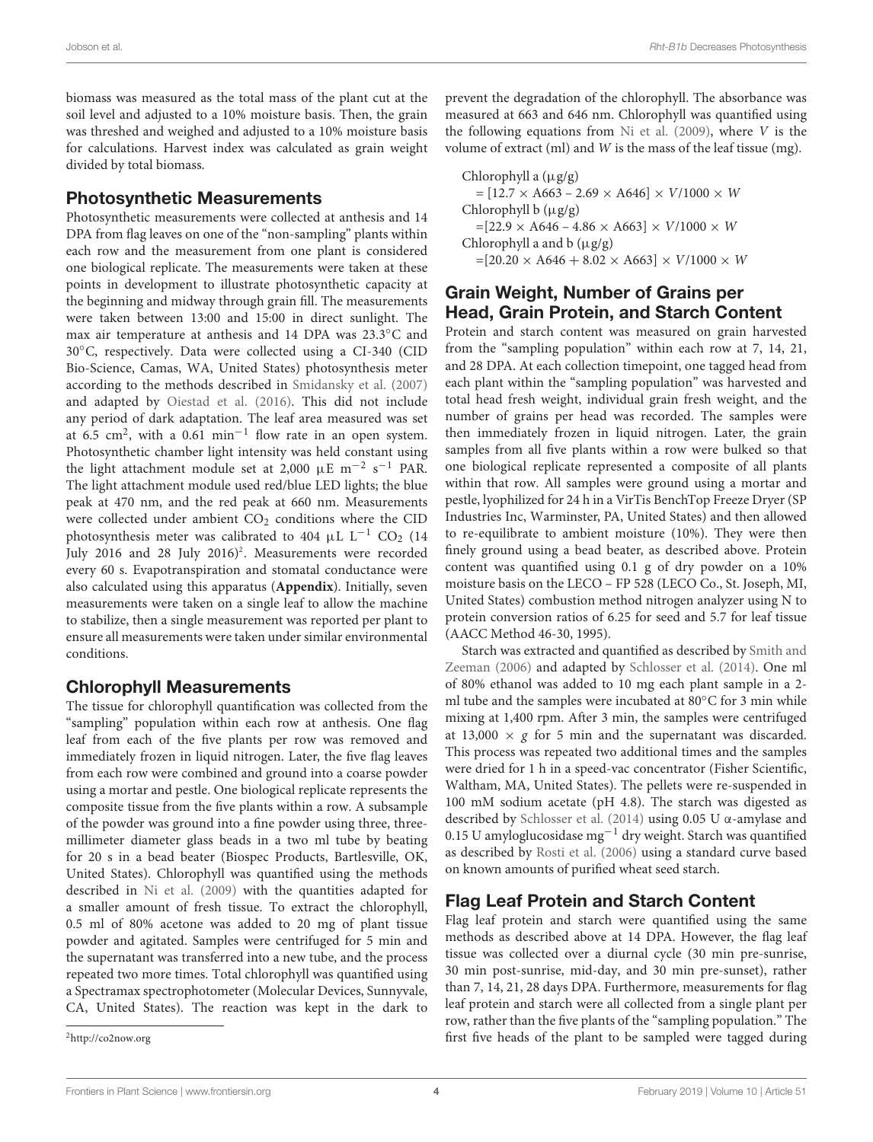biomass was measured as the total mass of the plant cut at the soil level and adjusted to a 10% moisture basis. Then, the grain was threshed and weighed and adjusted to a 10% moisture basis for calculations. Harvest index was calculated as grain weight divided by total biomass.

#### Photosynthetic Measurements

Photosynthetic measurements were collected at anthesis and 14 DPA from flag leaves on one of the "non-sampling" plants within each row and the measurement from one plant is considered one biological replicate. The measurements were taken at these points in development to illustrate photosynthetic capacity at the beginning and midway through grain fill. The measurements were taken between 13:00 and 15:00 in direct sunlight. The max air temperature at anthesis and 14 DPA was 23.3◦C and 30◦C, respectively. Data were collected using a CI-340 (CID Bio-Science, Camas, WA, United States) photosynthesis meter according to the methods described in [Smidansky et al.](#page-10-9) [\(2007\)](#page-10-9) and adapted by [Oiestad et al.](#page-10-10) [\(2016\)](#page-10-10). This did not include any period of dark adaptation. The leaf area measured was set at 6.5 cm<sup>2</sup>, with a 0.61 min<sup>-1</sup> flow rate in an open system. Photosynthetic chamber light intensity was held constant using the light attachment module set at 2,000  $\mu$ E m<sup>-2</sup> s<sup>-1</sup> PAR. The light attachment module used red/blue LED lights; the blue peak at 470 nm, and the red peak at 660 nm. Measurements were collected under ambient CO<sub>2</sub> conditions where the CID photosynthesis meter was calibrated to 404 µL L<sup>-1</sup> CO<sub>2</sub> (14 July [2](#page-3-0)016 and 28 July 2016)<sup>2</sup>. Measurements were recorded every 60 s. Evapotranspiration and stomatal conductance were also calculated using this apparatus (**[Appendix](#page-11-0)**). Initially, seven measurements were taken on a single leaf to allow the machine to stabilize, then a single measurement was reported per plant to ensure all measurements were taken under similar environmental conditions.

## Chlorophyll Measurements

The tissue for chlorophyll quantification was collected from the "sampling" population within each row at anthesis. One flag leaf from each of the five plants per row was removed and immediately frozen in liquid nitrogen. Later, the five flag leaves from each row were combined and ground into a coarse powder using a mortar and pestle. One biological replicate represents the composite tissue from the five plants within a row. A subsample of the powder was ground into a fine powder using three, threemillimeter diameter glass beads in a two ml tube by beating for 20 s in a bead beater (Biospec Products, Bartlesville, OK, United States). Chlorophyll was quantified using the methods described in [Ni et al.](#page-10-11) [\(2009\)](#page-10-11) with the quantities adapted for a smaller amount of fresh tissue. To extract the chlorophyll, 0.5 ml of 80% acetone was added to 20 mg of plant tissue powder and agitated. Samples were centrifuged for 5 min and the supernatant was transferred into a new tube, and the process repeated two more times. Total chlorophyll was quantified using a Spectramax spectrophotometer (Molecular Devices, Sunnyvale, CA, United States). The reaction was kept in the dark to

prevent the degradation of the chlorophyll. The absorbance was measured at 663 and 646 nm. Chlorophyll was quantified using the following equations from [Ni et al.](#page-10-11)  $(2009)$ , where V is the volume of extract (ml) and W is the mass of the leaf tissue (mg).

Chlorophyll a  $(\mu g/g)$  $=[12.7 \times A663 - 2.69 \times A646] \times V/1000 \times W$ Chlorophyll  $b(\mu g/g)$  $=[22.9 \times A646 - 4.86 \times A663] \times V/1000 \times W$ Chlorophyll a and b  $(\mu g/g)$  $=[20.20 \times A646 + 8.02 \times A663] \times V/1000 \times W$ 

## Grain Weight, Number of Grains per Head, Grain Protein, and Starch Content

Protein and starch content was measured on grain harvested from the "sampling population" within each row at 7, 14, 21, and 28 DPA. At each collection timepoint, one tagged head from each plant within the "sampling population" was harvested and total head fresh weight, individual grain fresh weight, and the number of grains per head was recorded. The samples were then immediately frozen in liquid nitrogen. Later, the grain samples from all five plants within a row were bulked so that one biological replicate represented a composite of all plants within that row. All samples were ground using a mortar and pestle, lyophilized for 24 h in a VirTis BenchTop Freeze Dryer (SP Industries Inc, Warminster, PA, United States) and then allowed to re-equilibrate to ambient moisture (10%). They were then finely ground using a bead beater, as described above. Protein content was quantified using 0.1 g of dry powder on a 10% moisture basis on the LECO – FP 528 (LECO Co., St. Joseph, MI, United States) combustion method nitrogen analyzer using N to protein conversion ratios of 6.25 for seed and 5.7 for leaf tissue (AACC Method 46-30, 1995).

Starch was extracted and quantified as described by [Smith and](#page-10-12) [Zeeman](#page-10-12) [\(2006\)](#page-10-12) and adapted by [Schlosser et al.](#page-10-13) [\(2014\)](#page-10-13). One ml of 80% ethanol was added to 10 mg each plant sample in a 2 ml tube and the samples were incubated at 80◦C for 3 min while mixing at 1,400 rpm. After 3 min, the samples were centrifuged at 13,000  $\times$  g for 5 min and the supernatant was discarded. This process was repeated two additional times and the samples were dried for 1 h in a speed-vac concentrator (Fisher Scientific, Waltham, MA, United States). The pellets were re-suspended in 100 mM sodium acetate (pH 4.8). The starch was digested as described by [Schlosser et al.](#page-10-13) [\(2014\)](#page-10-13) using 0.05 U α-amylase and 0.15 U amyloglucosidase mg−<sup>1</sup> dry weight. Starch was quantified as described by [Rosti et al.](#page-10-14) [\(2006\)](#page-10-14) using a standard curve based on known amounts of purified wheat seed starch.

## Flag Leaf Protein and Starch Content

Flag leaf protein and starch were quantified using the same methods as described above at 14 DPA. However, the flag leaf tissue was collected over a diurnal cycle (30 min pre-sunrise, 30 min post-sunrise, mid-day, and 30 min pre-sunset), rather than 7, 14, 21, 28 days DPA. Furthermore, measurements for flag leaf protein and starch were all collected from a single plant per row, rather than the five plants of the "sampling population." The first five heads of the plant to be sampled were tagged during

<span id="page-3-0"></span><sup>2</sup><http://co2now.org>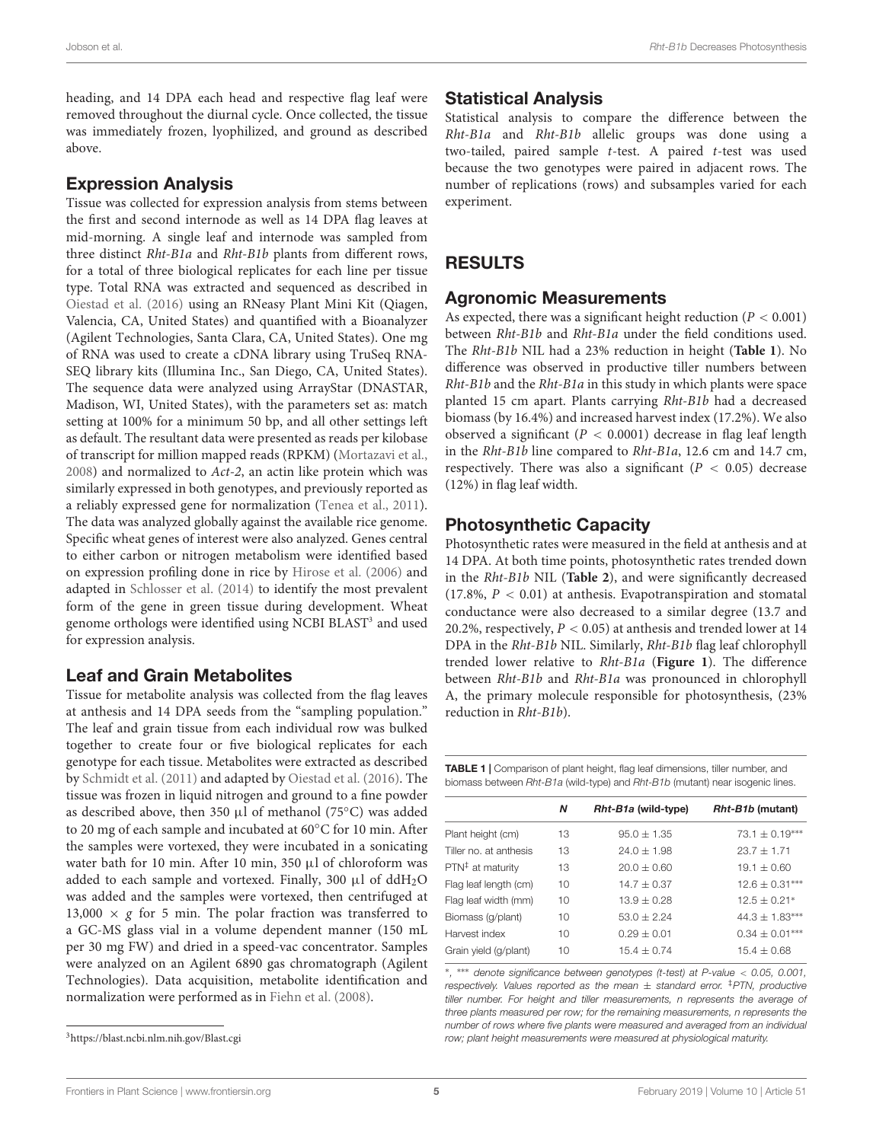heading, and 14 DPA each head and respective flag leaf were removed throughout the diurnal cycle. Once collected, the tissue was immediately frozen, lyophilized, and ground as described above.

## Expression Analysis

Tissue was collected for expression analysis from stems between the first and second internode as well as 14 DPA flag leaves at mid-morning. A single leaf and internode was sampled from three distinct Rht-B1a and Rht-B1b plants from different rows, for a total of three biological replicates for each line per tissue type. Total RNA was extracted and sequenced as described in [Oiestad et al.](#page-10-10) [\(2016\)](#page-10-10) using an RNeasy Plant Mini Kit (Qiagen, Valencia, CA, United States) and quantified with a Bioanalyzer (Agilent Technologies, Santa Clara, CA, United States). One mg of RNA was used to create a cDNA library using TruSeq RNA-SEQ library kits (Illumina Inc., San Diego, CA, United States). The sequence data were analyzed using ArrayStar (DNASTAR, Madison, WI, United States), with the parameters set as: match setting at 100% for a minimum 50 bp, and all other settings left as default. The resultant data were presented as reads per kilobase of transcript for million mapped reads (RPKM) [\(Mortazavi et al.,](#page-10-15) [2008\)](#page-10-15) and normalized to Act-2, an actin like protein which was similarly expressed in both genotypes, and previously reported as a reliably expressed gene for normalization [\(Tenea et al.,](#page-10-16) [2011\)](#page-10-16). The data was analyzed globally against the available rice genome. Specific wheat genes of interest were also analyzed. Genes central to either carbon or nitrogen metabolism were identified based on expression profiling done in rice by [Hirose et al.](#page-9-24) [\(2006\)](#page-9-24) and adapted in [Schlosser et al.](#page-10-13) [\(2014\)](#page-10-13) to identify the most prevalent form of the gene in green tissue during development. Wheat genome orthologs were identified using NCBI BLAST<sup>[3](#page-4-0)</sup> and used for expression analysis.

## Leaf and Grain Metabolites

Tissue for metabolite analysis was collected from the flag leaves at anthesis and 14 DPA seeds from the "sampling population." The leaf and grain tissue from each individual row was bulked together to create four or five biological replicates for each genotype for each tissue. Metabolites were extracted as described by [Schmidt et al.](#page-10-17) [\(2011\)](#page-10-17) and adapted by [Oiestad et al.](#page-10-10) [\(2016\)](#page-10-10). The tissue was frozen in liquid nitrogen and ground to a fine powder as described above, then 350  $\mu$ l of methanol (75°C) was added to 20 mg of each sample and incubated at 60◦C for 10 min. After the samples were vortexed, they were incubated in a sonicating water bath for 10 min. After 10 min, 350 µl of chloroform was added to each sample and vortexed. Finally, 300  $\mu$ l of ddH<sub>2</sub>O was added and the samples were vortexed, then centrifuged at 13,000  $\times$  g for 5 min. The polar fraction was transferred to a GC-MS glass vial in a volume dependent manner (150 mL per 30 mg FW) and dried in a speed-vac concentrator. Samples were analyzed on an Agilent 6890 gas chromatograph (Agilent Technologies). Data acquisition, metabolite identification and normalization were performed as in [Fiehn et al.](#page-9-25) [\(2008\)](#page-9-25).

#### Statistical Analysis

Statistical analysis to compare the difference between the Rht-B1a and Rht-B1b allelic groups was done using a two-tailed, paired sample t-test. A paired t-test was used because the two genotypes were paired in adjacent rows. The number of replications (rows) and subsamples varied for each experiment.

## RESULTS

#### Agronomic Measurements

As expected, there was a significant height reduction ( $P < 0.001$ ) between Rht-B1b and Rht-B1a under the field conditions used. The Rht-B1b NIL had a 23% reduction in height (**[Table 1](#page-4-1)**). No difference was observed in productive tiller numbers between Rht-B1b and the Rht-B1a in this study in which plants were space planted 15 cm apart. Plants carrying Rht-B1b had a decreased biomass (by 16.4%) and increased harvest index (17.2%). We also observed a significant ( $P < 0.0001$ ) decrease in flag leaf length in the Rht-B1b line compared to Rht-B1a, 12.6 cm and 14.7 cm, respectively. There was also a significant ( $P < 0.05$ ) decrease (12%) in flag leaf width.

## Photosynthetic Capacity

Photosynthetic rates were measured in the field at anthesis and at 14 DPA. At both time points, photosynthetic rates trended down in the Rht-B1b NIL (**[Table 2](#page-5-0)**), and were significantly decreased (17.8%,  $P < 0.01$ ) at anthesis. Evapotranspiration and stomatal conductance were also decreased to a similar degree (13.7 and 20.2%, respectively,  $P < 0.05$ ) at anthesis and trended lower at 14 DPA in the Rht-B1b NIL. Similarly, Rht-B1b flag leaf chlorophyll trended lower relative to Rht-B1a (**[Figure 1](#page-5-1)**). The difference between Rht-B1b and Rht-B1a was pronounced in chlorophyll A, the primary molecule responsible for photosynthesis, (23% reduction in Rht-B1b).

<span id="page-4-1"></span>TABLE 1 | Comparison of plant height, flag leaf dimensions, tiller number, and biomass between Rht-B1a (wild-type) and Rht-B1b (mutant) near isogenic lines.

|                              | N  | Rht-B1a (wild-type) | Rht-B1b (mutant)   |
|------------------------------|----|---------------------|--------------------|
| Plant height (cm)            | 13 | $95.0 + 1.35$       | $73.1 \pm 0.19***$ |
| Tiller no. at anthesis       | 13 | $24.0 + 1.98$       | $23.7 + 1.71$      |
| $PTN^{\ddagger}$ at maturity | 13 | $20.0 + 0.60$       | $19.1 + 0.60$      |
| Flag leaf length (cm)        | 10 | $14.7 + 0.37$       | $12.6 + 0.31***$   |
| Flag leaf width (mm)         | 10 | $13.9 + 0.28$       | $12.5 + 0.21*$     |
| Biomass (g/plant)            | 10 | $53.0 + 2.24$       | $44.3 + 1.83***$   |
| Harvest index                | 10 | $0.29 + 0.01$       | $0.34 \pm 0.01***$ |
| Grain yield (q/plant)        | 10 | $15.4 + 0.74$       | $15.4 + 0.68$      |

∗ , ∗∗∗ denote significance between genotypes (t-test) at P-value < 0.05, 0.001, respectively. Values reported as the mean  $\pm$  standard error.  $*$ PTN, productive tiller number. For height and tiller measurements, n represents the average of three plants measured per row; for the remaining measurements, n represents the number of rows where five plants were measured and averaged from an individual row; plant height measurements were measured at physiological maturity.

<span id="page-4-0"></span><sup>3</sup><https://blast.ncbi.nlm.nih.gov/Blast.cgi>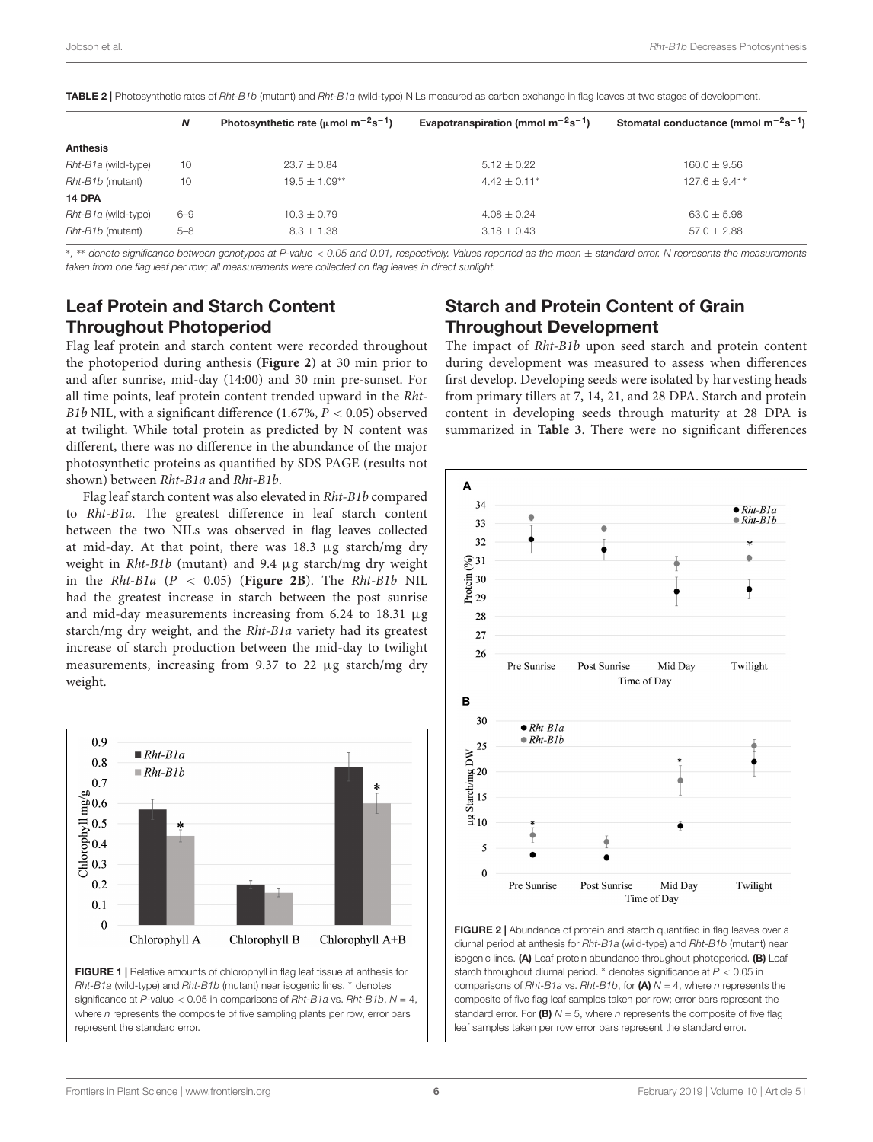|                       | N       | Photosynthetic rate ( $\mu$ mol m <sup>-2</sup> s <sup>-1</sup> ) | Evapotranspiration (mmol $m^{-2}s^{-1}$ ) | Stomatal conductance (mmol $m^{-2}s^{-1}$ ) |
|-----------------------|---------|-------------------------------------------------------------------|-------------------------------------------|---------------------------------------------|
| <b>Anthesis</b>       |         |                                                                   |                                           |                                             |
| $Rht-B1a$ (wild-type) | 10      | $23.7 \pm 0.84$                                                   | $5.12 \pm 0.22$                           | $160.0 \pm 9.56$                            |
| Rht-B1b (mutant)      | 10      | $19.5 \pm 1.09**$                                                 | $4.42 \pm 0.11$ <sup>*</sup>              | $127.6 \pm 9.41*$                           |
| 14 DPA                |         |                                                                   |                                           |                                             |
| $Rht-B1a$ (wild-type) | $6 - 9$ | $10.3 \pm 0.79$                                                   | $4.08 \pm 0.24$                           | $63.0 \pm 5.98$                             |
| Rht-B1b (mutant)      | $5 - 8$ | $8.3 \pm 1.38$                                                    | $3.18 \pm 0.43$                           | $57.0 \pm 2.88$                             |

<span id="page-5-0"></span>TABLE 2 | Photosynthetic rates of Rht-B1b (mutant) and Rht-B1a (wild-type) NILs measured as carbon exchange in flag leaves at two stages of development.

∗ , ∗∗ denote significance between genotypes at P-value < 0.05 and 0.01, respectively. Values reported as the mean ± standard error. N represents the measurements taken from one flag leaf per row; all measurements were collected on flag leaves in direct sunlight.

# Leaf Protein and Starch Content Throughout Photoperiod

Flag leaf protein and starch content were recorded throughout the photoperiod during anthesis (**[Figure 2](#page-5-2)**) at 30 min prior to and after sunrise, mid-day (14:00) and 30 min pre-sunset. For all time points, leaf protein content trended upward in the Rht-B1b NIL, with a significant difference (1.67%,  $P < 0.05$ ) observed at twilight. While total protein as predicted by N content was different, there was no difference in the abundance of the major photosynthetic proteins as quantified by SDS PAGE (results not shown) between Rht-B1a and Rht-B1b.

Flag leaf starch content was also elevated in Rht-B1b compared to Rht-B1a. The greatest difference in leaf starch content between the two NILs was observed in flag leaves collected at mid-day. At that point, there was 18.3 µg starch/mg dry weight in Rht-B1b (mutant) and 9.4 µg starch/mg dry weight in the Rht-B<sub>1</sub>a ( $P < 0.05$ ) (**[Figure 2B](#page-5-2)**). The Rht-B<sub>1</sub>b NIL had the greatest increase in starch between the post sunrise and mid-day measurements increasing from  $6.24$  to  $18.31 \mu$ g starch/mg dry weight, and the Rht-B1a variety had its greatest increase of starch production between the mid-day to twilight measurements, increasing from 9.37 to 22 µg starch/mg dry weight.



<span id="page-5-1"></span>Rht-B1a (wild-type) and Rht-B1b (mutant) near isogenic lines. \* denotes significance at P-value  $< 0.05$  in comparisons of Rht-B1a vs. Rht-B1b, N = 4, where n represents the composite of five sampling plants per row, error bars represent the standard error.

## Starch and Protein Content of Grain Throughout Development

The impact of Rht-B1b upon seed starch and protein content during development was measured to assess when differences first develop. Developing seeds were isolated by harvesting heads from primary tillers at 7, 14, 21, and 28 DPA. Starch and protein content in developing seeds through maturity at 28 DPA is summarized in **[Table 3](#page-6-0)**. There were no significant differences



<span id="page-5-2"></span>FIGURE 2 | Abundance of protein and starch quantified in flag leaves over a diurnal period at anthesis for Rht-B1a (wild-type) and Rht-B1b (mutant) near isogenic lines. (A) Leaf protein abundance throughout photoperiod. (B) Leaf starch throughout diurnal period.  $*$  denotes significance at  $P < 0.05$  in comparisons of Rht-B1a vs. Rht-B1b, for  $(A)$  N = 4, where n represents the composite of five flag leaf samples taken per row; error bars represent the standard error. For (B)  $N = 5$ , where *n* represents the composite of five flag leaf samples taken per row error bars represent the standard error.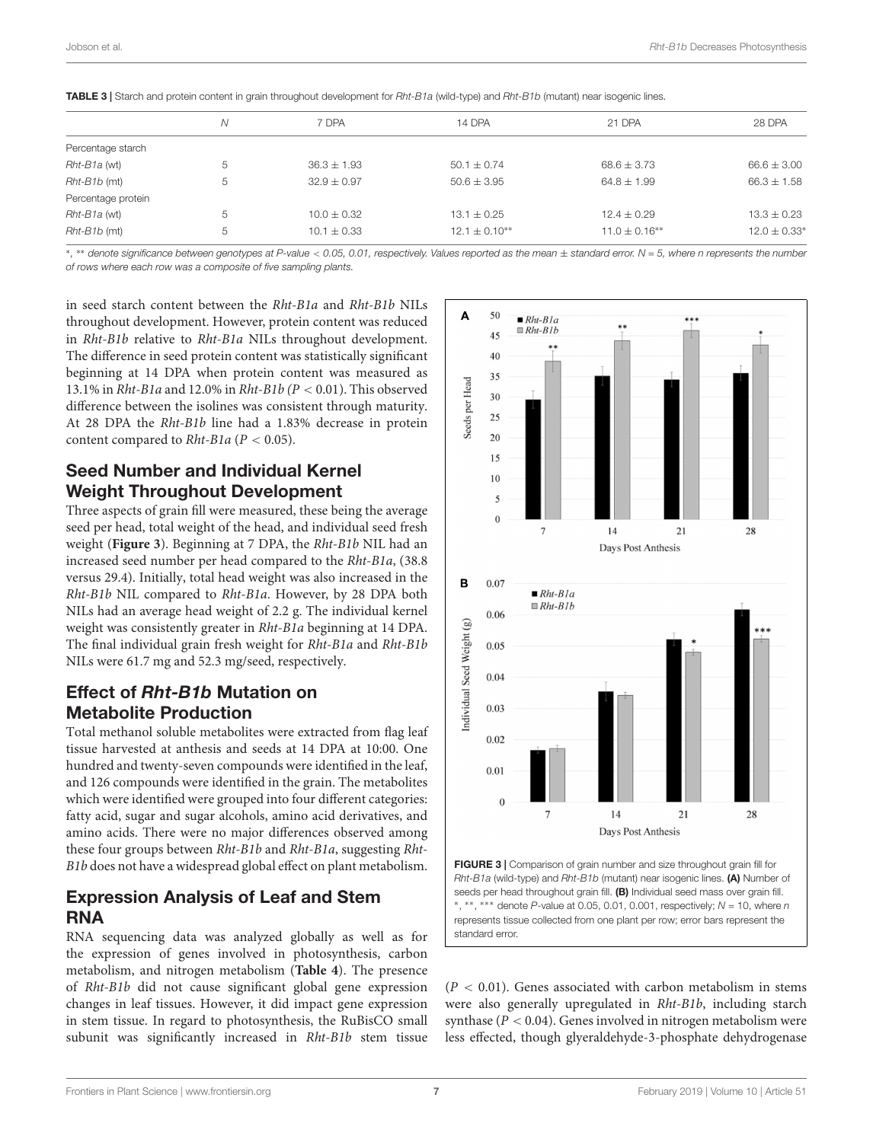|                    | Ν | 7 DPA           | 14 DPA            | 21 DPA            | 28 DPA           |
|--------------------|---|-----------------|-------------------|-------------------|------------------|
| Percentage starch  |   |                 |                   |                   |                  |
| $Rht-B1a$ (wt)     | 5 | $36.3 \pm 1.93$ | $50.1 \pm 0.74$   | $68.6 \pm 3.73$   | $66.6 \pm 3.00$  |
| $Rht-B1b$ (mt)     | 5 | $32.9 \pm 0.97$ | $50.6 \pm 3.95$   | $64.8 \pm 1.99$   | $66.3 \pm 1.58$  |
| Percentage protein |   |                 |                   |                   |                  |
| $Rht-B1a$ (wt)     | 5 | $10.0 \pm 0.32$ | $13.1 \pm 0.25$   | $12.4 \pm 0.29$   | $13.3 \pm 0.23$  |
| $Rht-B1b$ (mt)     | 5 | $10.1 \pm 0.33$ | $12.1 \pm 0.10**$ | $11.0 \pm 0.16**$ | $12.0 \pm 0.33*$ |
|                    |   |                 |                   |                   |                  |

<span id="page-6-0"></span>TABLE 3 | Starch and protein content in grain throughout development for Rht-B1a (wild-type) and Rht-B1b (mutant) near isogenic lines.

∗ , ∗∗ denote significance between genotypes at P-value < 0.05, 0.01, respectively. Values reported as the mean ± standard error. N = 5, where n represents the number of rows where each row was a composite of five sampling plants.

in seed starch content between the Rht-B1a and Rht-B1b NILs throughout development. However, protein content was reduced in Rht-B1b relative to Rht-B1a NILs throughout development. The difference in seed protein content was statistically significant beginning at 14 DPA when protein content was measured as 13.1% in Rht-B1a and 12.0% in Rht-B1b ( $P < 0.01$ ). This observed difference between the isolines was consistent through maturity. At 28 DPA the Rht-B1b line had a 1.83% decrease in protein content compared to  $Rht-B1a$  ( $P < 0.05$ ).

## Seed Number and Individual Kernel Weight Throughout Development

Three aspects of grain fill were measured, these being the average seed per head, total weight of the head, and individual seed fresh weight (**[Figure 3](#page-6-1)**). Beginning at 7 DPA, the Rht-B1b NIL had an increased seed number per head compared to the Rht-B1a, (38.8 versus 29.4). Initially, total head weight was also increased in the Rht-B1b NIL compared to Rht-B1a. However, by 28 DPA both NILs had an average head weight of 2.2 g. The individual kernel weight was consistently greater in Rht-B1a beginning at 14 DPA. The final individual grain fresh weight for Rht-B1a and Rht-B1b NILs were 61.7 mg and 52.3 mg/seed, respectively.

## Effect of Rht-B1b Mutation on Metabolite Production

Total methanol soluble metabolites were extracted from flag leaf tissue harvested at anthesis and seeds at 14 DPA at 10:00. One hundred and twenty-seven compounds were identified in the leaf, and 126 compounds were identified in the grain. The metabolites which were identified were grouped into four different categories: fatty acid, sugar and sugar alcohols, amino acid derivatives, and amino acids. There were no major differences observed among these four groups between Rht-B1b and Rht-B1a, suggesting Rht-B1b does not have a widespread global effect on plant metabolism.

## Expression Analysis of Leaf and Stem **RNA**

RNA sequencing data was analyzed globally as well as for the expression of genes involved in photosynthesis, carbon metabolism, and nitrogen metabolism (**[Table 4](#page-7-0)**). The presence of Rht-B1b did not cause significant global gene expression changes in leaf tissues. However, it did impact gene expression in stem tissue. In regard to photosynthesis, the RuBisCO small subunit was significantly increased in Rht-B1b stem tissue



<span id="page-6-1"></span>FIGURE 3 | Comparison of grain number and size throughout grain fill for Rht-B1a (wild-type) and Rht-B1b (mutant) near isogenic lines. (A) Number of seeds per head throughout grain fill. (B) Individual seed mass over grain fill. \*, \*\*, \*\*\* denote P-value at 0.05, 0.01, 0.001, respectively; N = 10, where n represents tissue collected from one plant per row; error bars represent the standard error.

 $(P < 0.01)$ . Genes associated with carbon metabolism in stems were also generally upregulated in Rht-B1b, including starch synthase ( $P < 0.04$ ). Genes involved in nitrogen metabolism were less effected, though glyeraldehyde-3-phosphate dehydrogenase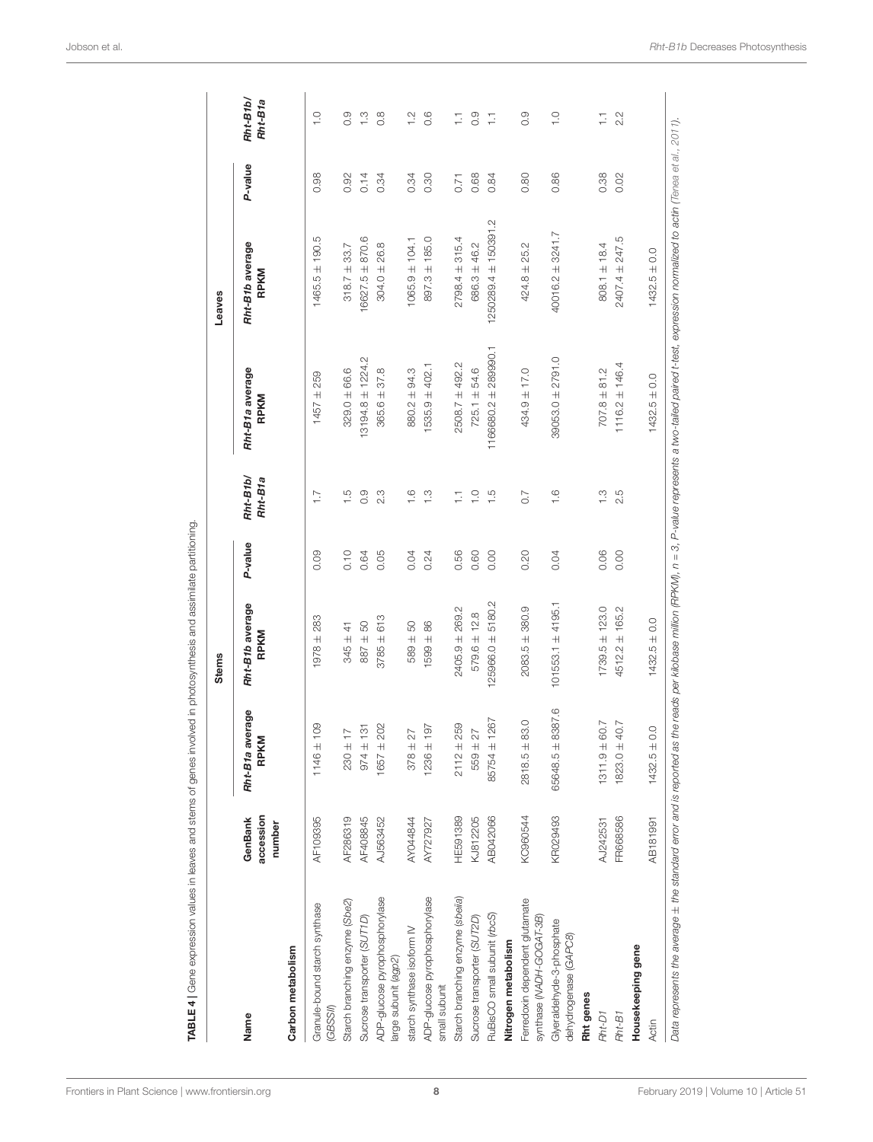<span id="page-7-0"></span>

| ⊇<br>١<br>$\equiv$<br>d<br>֡֡֡֡֡<br>$\frac{1}{2}$<br>i<br>i<br>l<br>ļ                                        |  |
|--------------------------------------------------------------------------------------------------------------|--|
| ildi.<br>t<br>Ë<br>នន<br>Ì<br>7                                                                              |  |
| ţ<br>ć<br>İ<br>尕<br>é<br>ś<br>ţ<br>ć<br>J<br>I<br>į<br>$\frac{1}{\zeta}$<br>$\overline{ }$<br>j<br>ļ<br>Σ    |  |
| l<br>Š<br>ļ<br>١<br>1<br>Ξ<br>l<br>l                                                                         |  |
| $\frac{3}{2}$<br>i<br>į<br>í<br>Ì<br>j<br>$\ddot{\phantom{a}}$<br>¢<br>į<br>Í                                |  |
| bļ<br>¢<br>ť<br>$\frac{1}{2}$<br>1<br>ţ<br>$\overline{\pi}$<br>Ì<br>j<br>j<br>ś<br>ć                         |  |
| i<br>j<br>d<br>l<br>$\frac{1}{2}$<br>ļ<br>Ŕ<br>Ï                                                             |  |
| ¢<br>Ì<br>5<br>$\frac{1}{2}$<br>i<br>i<br>Ç<br>╳<br>i<br>i<br>l<br>ċ<br>jer<br>G<br>$\overline{\phantom{a}}$ |  |
| iTE 4                                                                                                        |  |

| RPKM<br>1166680.2 ± 289990.1<br>$39053.0 \pm 2791.0$<br>$3194.8 \pm 1224.2$<br>$1116.2 \pm 146.4$<br>2508.7 ± 492.2<br>$1535.9 \pm 402.1$<br>$365.6 \pm 37.8$<br>$725.1 + 54.6$<br>Rht-B1a average<br>$329.0 + 66.6$<br>$880.2 + 94.3$<br>434.9 ± 17.0<br>$707.8 + 81.2$<br>$1457 \pm 259$<br>RPKM<br>Rht-B1b/<br>Rht-B1a<br>$\frac{5}{1}$<br>0.9<br>2.3<br>$\frac{0}{1}$<br>$\frac{3}{1}$<br>2.5<br>$\overline{1}$ .<br>1.6<br>$\frac{3}{1}$<br>$\frac{0}{1}$<br>1.5<br>0.7<br>H<br>P-value<br>0.09<br>0.05<br>0.24<br>0.56<br>0.20<br>0.06<br>0.00<br>0.10<br>0.64<br>0.04<br>0.60<br>0.00<br>0.04<br>5180.2<br>Rht-B1b average<br>$101553.1 + 4195.1$<br>$1739.5 \pm 123.0$<br>$4512.2 \pm 165.2$<br>$2083.5 + 380.9$<br>$2405.9 \pm 269.2$<br>$579.6 \pm 12.8$<br>$3785 + 613$<br>$1978 \pm 283$<br>$1599 \pm 86$<br>$887 + 50$<br>$589 + 50$<br>$345 + 41$<br>RPKM<br>$125966.0 \pm$<br>65648.5 ± 8387.6<br>Rht-B1a average<br>85754 ± 1267<br>$2818.5 + 83.0$<br>$1823.0 \pm 40.7$<br>$1311.9 + 60.7$<br>$1146 \pm 109$<br>$1657 \pm 202$<br>$2112 + 259$<br>$1236 \pm 197$<br>$974 \pm 131$<br>$378 + 27$<br>$230 \pm 17$<br>559 ± 27<br>RPKM<br>accession<br>KC960544<br>AF408845<br>HE591389<br>AB042066<br>KR029493<br>AF109395<br>AF286319<br>AJ563452<br>AY044844<br>KJ812205<br>FR668586<br>AJ242531<br>GenBank<br>AY727927<br>number<br>ADP-glucose pyrophosphorylase<br>ADP-glucose pyrophosphorylase<br>Starch branching enzyme (sbeiia)<br>Ferredoxin dependent glutamate<br>Starch branching enzyme (Sbe2)<br>Granule-bound starch synthase<br>RuBisCO small subunit (rbcS)<br>Sucrose transporter (SUT1D)<br>synthase (VADH-GOGAT-3B)<br>Sucrose transporter (SUT2D)<br>Glyeraldehyde-3-phosphate<br>starch synthase isoform IV<br>dehydrogenase (GAPC8)<br>Nitrogen metabolism<br>Housekeeping gene<br>Carbon metabolism<br>large subunit (agp2)<br>small subunit<br>Rht genes<br>(GBSSII)<br>Rht-D1<br>Rht-B1<br>Name |       |          |                  | <b>Stems</b>     |  |                  | Leaves                  |         |                                 |
|--------------------------------------------------------------------------------------------------------------------------------------------------------------------------------------------------------------------------------------------------------------------------------------------------------------------------------------------------------------------------------------------------------------------------------------------------------------------------------------------------------------------------------------------------------------------------------------------------------------------------------------------------------------------------------------------------------------------------------------------------------------------------------------------------------------------------------------------------------------------------------------------------------------------------------------------------------------------------------------------------------------------------------------------------------------------------------------------------------------------------------------------------------------------------------------------------------------------------------------------------------------------------------------------------------------------------------------------------------------------------------------------------------------------------------------------------------------------------------------------------------------------------------------------------------------------------------------------------------------------------------------------------------------------------------------------------------------------------------------------------------------------------------------------------------------------------------------------------------------------------------------------------------------------------------------------|-------|----------|------------------|------------------|--|------------------|-------------------------|---------|---------------------------------|
|                                                                                                                                                                                                                                                                                                                                                                                                                                                                                                                                                                                                                                                                                                                                                                                                                                                                                                                                                                                                                                                                                                                                                                                                                                                                                                                                                                                                                                                                                                                                                                                                                                                                                                                                                                                                                                                                                                                                            |       |          |                  |                  |  |                  | Rht-B1b average         | P-value | Rht-B1b/<br>Rht-B <sub>1a</sub> |
|                                                                                                                                                                                                                                                                                                                                                                                                                                                                                                                                                                                                                                                                                                                                                                                                                                                                                                                                                                                                                                                                                                                                                                                                                                                                                                                                                                                                                                                                                                                                                                                                                                                                                                                                                                                                                                                                                                                                            |       |          |                  |                  |  |                  |                         |         |                                 |
|                                                                                                                                                                                                                                                                                                                                                                                                                                                                                                                                                                                                                                                                                                                                                                                                                                                                                                                                                                                                                                                                                                                                                                                                                                                                                                                                                                                                                                                                                                                                                                                                                                                                                                                                                                                                                                                                                                                                            |       |          |                  |                  |  |                  | $1465.5 \pm 190.5$      | 0.98    | $\frac{1}{1}$                   |
|                                                                                                                                                                                                                                                                                                                                                                                                                                                                                                                                                                                                                                                                                                                                                                                                                                                                                                                                                                                                                                                                                                                                                                                                                                                                                                                                                                                                                                                                                                                                                                                                                                                                                                                                                                                                                                                                                                                                            |       |          |                  |                  |  |                  | $318.7 + 33.7$          | 0.92    | 0.9                             |
|                                                                                                                                                                                                                                                                                                                                                                                                                                                                                                                                                                                                                                                                                                                                                                                                                                                                                                                                                                                                                                                                                                                                                                                                                                                                                                                                                                                                                                                                                                                                                                                                                                                                                                                                                                                                                                                                                                                                            |       |          |                  |                  |  |                  | $16627.5 \pm 870.6$     | 0.14    | $\frac{3}{1}$                   |
|                                                                                                                                                                                                                                                                                                                                                                                                                                                                                                                                                                                                                                                                                                                                                                                                                                                                                                                                                                                                                                                                                                                                                                                                                                                                                                                                                                                                                                                                                                                                                                                                                                                                                                                                                                                                                                                                                                                                            |       |          |                  |                  |  |                  | $304.0 \pm 26.8$        | 0.34    | $0.\overline{8}$                |
|                                                                                                                                                                                                                                                                                                                                                                                                                                                                                                                                                                                                                                                                                                                                                                                                                                                                                                                                                                                                                                                                                                                                                                                                                                                                                                                                                                                                                                                                                                                                                                                                                                                                                                                                                                                                                                                                                                                                            |       |          |                  |                  |  |                  | $1065.9 \pm 104.1$      | 0.34    | $\frac{1}{2}$                   |
|                                                                                                                                                                                                                                                                                                                                                                                                                                                                                                                                                                                                                                                                                                                                                                                                                                                                                                                                                                                                                                                                                                                                                                                                                                                                                                                                                                                                                                                                                                                                                                                                                                                                                                                                                                                                                                                                                                                                            |       |          |                  |                  |  |                  | $897.3 \pm 185.0$       | 0.30    | 0.6                             |
|                                                                                                                                                                                                                                                                                                                                                                                                                                                                                                                                                                                                                                                                                                                                                                                                                                                                                                                                                                                                                                                                                                                                                                                                                                                                                                                                                                                                                                                                                                                                                                                                                                                                                                                                                                                                                                                                                                                                            |       |          |                  |                  |  |                  | $2798.4 \pm 315.4$      | 0.71    | H                               |
|                                                                                                                                                                                                                                                                                                                                                                                                                                                                                                                                                                                                                                                                                                                                                                                                                                                                                                                                                                                                                                                                                                                                                                                                                                                                                                                                                                                                                                                                                                                                                                                                                                                                                                                                                                                                                                                                                                                                            |       |          |                  |                  |  |                  | $686.3 + 46.2$          | 0.68    | 0.9                             |
|                                                                                                                                                                                                                                                                                                                                                                                                                                                                                                                                                                                                                                                                                                                                                                                                                                                                                                                                                                                                                                                                                                                                                                                                                                                                                                                                                                                                                                                                                                                                                                                                                                                                                                                                                                                                                                                                                                                                            |       |          |                  |                  |  |                  | 1250289.4 ± 150391.2    | 0.84    | E                               |
|                                                                                                                                                                                                                                                                                                                                                                                                                                                                                                                                                                                                                                                                                                                                                                                                                                                                                                                                                                                                                                                                                                                                                                                                                                                                                                                                                                                                                                                                                                                                                                                                                                                                                                                                                                                                                                                                                                                                            |       |          |                  |                  |  |                  |                         |         |                                 |
|                                                                                                                                                                                                                                                                                                                                                                                                                                                                                                                                                                                                                                                                                                                                                                                                                                                                                                                                                                                                                                                                                                                                                                                                                                                                                                                                                                                                                                                                                                                                                                                                                                                                                                                                                                                                                                                                                                                                            |       |          |                  |                  |  |                  | Ņ<br>25.<br>$424.8 \pm$ | 0.80    | 0.9                             |
|                                                                                                                                                                                                                                                                                                                                                                                                                                                                                                                                                                                                                                                                                                                                                                                                                                                                                                                                                                                                                                                                                                                                                                                                                                                                                                                                                                                                                                                                                                                                                                                                                                                                                                                                                                                                                                                                                                                                            |       |          |                  |                  |  |                  | $40016.2 \pm 3241.7$    | 0.86    | $\frac{0}{1}$                   |
|                                                                                                                                                                                                                                                                                                                                                                                                                                                                                                                                                                                                                                                                                                                                                                                                                                                                                                                                                                                                                                                                                                                                                                                                                                                                                                                                                                                                                                                                                                                                                                                                                                                                                                                                                                                                                                                                                                                                            |       |          |                  |                  |  |                  |                         |         |                                 |
|                                                                                                                                                                                                                                                                                                                                                                                                                                                                                                                                                                                                                                                                                                                                                                                                                                                                                                                                                                                                                                                                                                                                                                                                                                                                                                                                                                                                                                                                                                                                                                                                                                                                                                                                                                                                                                                                                                                                            |       |          |                  |                  |  |                  | $808.1 \pm 18.4$        | 0.38    | H                               |
|                                                                                                                                                                                                                                                                                                                                                                                                                                                                                                                                                                                                                                                                                                                                                                                                                                                                                                                                                                                                                                                                                                                                                                                                                                                                                                                                                                                                                                                                                                                                                                                                                                                                                                                                                                                                                                                                                                                                            |       |          |                  |                  |  |                  | 2407.4 ± 247.5          | 0.02    | 2.2                             |
|                                                                                                                                                                                                                                                                                                                                                                                                                                                                                                                                                                                                                                                                                                                                                                                                                                                                                                                                                                                                                                                                                                                                                                                                                                                                                                                                                                                                                                                                                                                                                                                                                                                                                                                                                                                                                                                                                                                                            |       |          |                  |                  |  |                  |                         |         |                                 |
|                                                                                                                                                                                                                                                                                                                                                                                                                                                                                                                                                                                                                                                                                                                                                                                                                                                                                                                                                                                                                                                                                                                                                                                                                                                                                                                                                                                                                                                                                                                                                                                                                                                                                                                                                                                                                                                                                                                                            | Actin | AB181991 | $1432.5 \pm 0.0$ | $1432.5 \pm 0.0$ |  | $1432.5 \pm 0.0$ | $1432.5 \pm 0.0$        |         |                                 |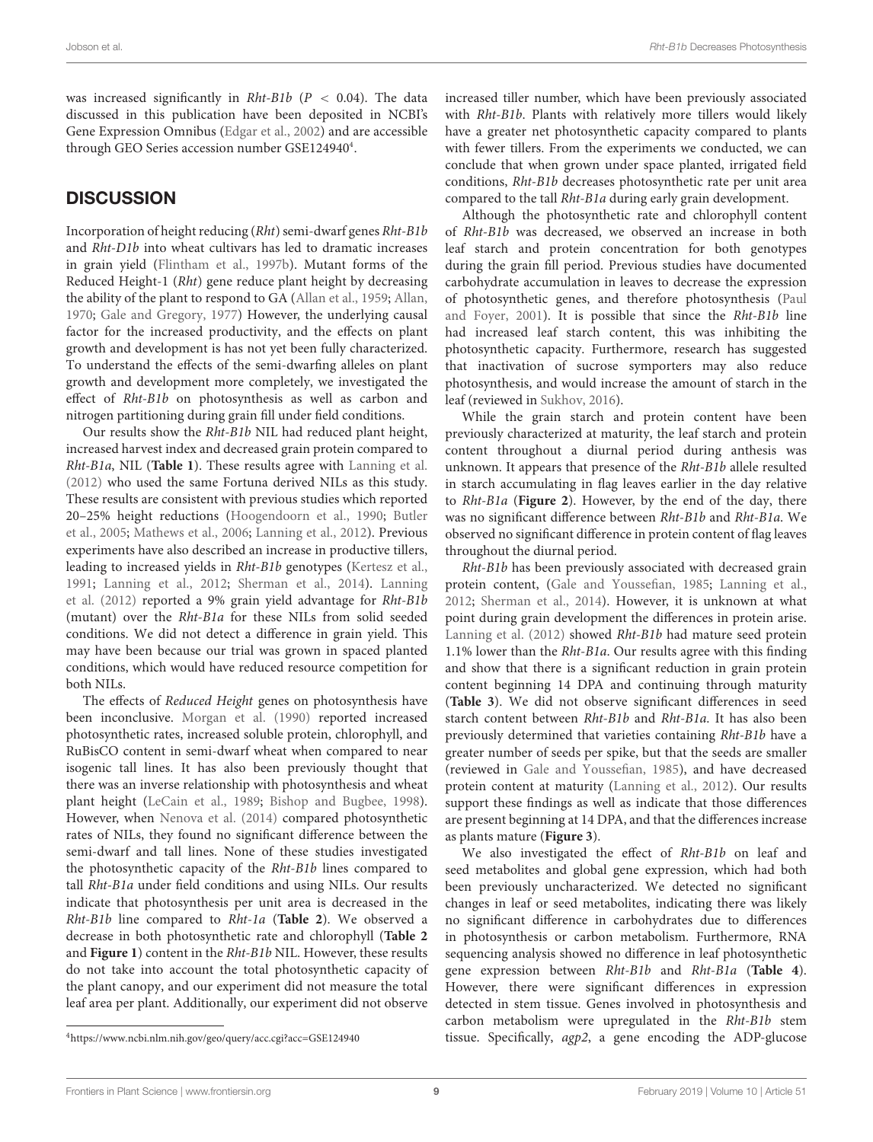was increased significantly in Rht-B1b ( $P < 0.04$ ). The data discussed in this publication have been deposited in NCBI's Gene Expression Omnibus [\(Edgar et al.,](#page-9-26) [2002\)](#page-9-26) and are accessible through GEO Series accession number GSE12[4](#page-8-0)940<sup>4</sup>.

## **DISCUSSION**

Incorporation of height reducing (Rht) semi-dwarf genes Rht-B1b and Rht-D1b into wheat cultivars has led to dramatic increases in grain yield [\(Flintham et al.,](#page-9-8) [1997b\)](#page-9-8). Mutant forms of the Reduced Height-1 (Rht) gene reduce plant height by decreasing the ability of the plant to respond to GA [\(Allan et al.,](#page-9-2) [1959;](#page-9-2) [Allan,](#page-9-3) [1970;](#page-9-3) [Gale and Gregory,](#page-9-4) [1977\)](#page-9-4) However, the underlying causal factor for the increased productivity, and the effects on plant growth and development is has not yet been fully characterized. To understand the effects of the semi-dwarfing alleles on plant growth and development more completely, we investigated the effect of Rht-B1b on photosynthesis as well as carbon and nitrogen partitioning during grain fill under field conditions.

Our results show the Rht-B1b NIL had reduced plant height, increased harvest index and decreased grain protein compared to Rht-B1a, NIL (**[Table 1](#page-4-1)**). These results agree with [Lanning et al.](#page-9-9) [\(2012\)](#page-9-9) who used the same Fortuna derived NILs as this study. These results are consistent with previous studies which reported 20–25% height reductions [\(Hoogendoorn et al.,](#page-9-10) [1990;](#page-9-10) [Butler](#page-9-27) [et al.,](#page-9-27) [2005;](#page-9-27) [Mathews et al.,](#page-10-18) [2006;](#page-10-18) [Lanning et al.,](#page-9-9) [2012\)](#page-9-9). Previous experiments have also described an increase in productive tillers, leading to increased yields in Rht-B1b genotypes [\(Kertesz et al.,](#page-9-17) [1991;](#page-9-17) [Lanning et al.,](#page-9-9) [2012;](#page-9-9) [Sherman et al.,](#page-10-6) [2014\)](#page-10-6). [Lanning](#page-9-9) [et al.](#page-9-9) [\(2012\)](#page-9-9) reported a 9% grain yield advantage for Rht-B1b (mutant) over the Rht-B1a for these NILs from solid seeded conditions. We did not detect a difference in grain yield. This may have been because our trial was grown in spaced planted conditions, which would have reduced resource competition for both NILs.

The effects of Reduced Height genes on photosynthesis have been inconclusive. [Morgan et al.](#page-10-7) [\(1990\)](#page-10-7) reported increased photosynthetic rates, increased soluble protein, chlorophyll, and RuBisCO content in semi-dwarf wheat when compared to near isogenic tall lines. It has also been previously thought that there was an inverse relationship with photosynthesis and wheat plant height [\(LeCain et al.,](#page-9-18) [1989;](#page-9-18) [Bishop and Bugbee,](#page-9-19) [1998\)](#page-9-19). However, when [Nenova et al.](#page-10-8) [\(2014\)](#page-10-8) compared photosynthetic rates of NILs, they found no significant difference between the semi-dwarf and tall lines. None of these studies investigated the photosynthetic capacity of the Rht-B1b lines compared to tall Rht-B1a under field conditions and using NILs. Our results indicate that photosynthesis per unit area is decreased in the Rht-B1b line compared to Rht-1a (**[Table 2](#page-5-0)**). We observed a decrease in both photosynthetic rate and chlorophyll (**[Table 2](#page-5-0)** and **[Figure 1](#page-5-1)**) content in the Rht-B1b NIL. However, these results do not take into account the total photosynthetic capacity of the plant canopy, and our experiment did not measure the total leaf area per plant. Additionally, our experiment did not observe increased tiller number, which have been previously associated with Rht-B1b. Plants with relatively more tillers would likely have a greater net photosynthetic capacity compared to plants with fewer tillers. From the experiments we conducted, we can conclude that when grown under space planted, irrigated field conditions, Rht-B1b decreases photosynthetic rate per unit area compared to the tall Rht-B1a during early grain development.

Although the photosynthetic rate and chlorophyll content of Rht-B1b was decreased, we observed an increase in both leaf starch and protein concentration for both genotypes during the grain fill period. Previous studies have documented carbohydrate accumulation in leaves to decrease the expression of photosynthetic genes, and therefore photosynthesis [\(Paul](#page-10-19) [and Foyer,](#page-10-19) [2001\)](#page-10-19). It is possible that since the Rht-B1b line had increased leaf starch content, this was inhibiting the photosynthetic capacity. Furthermore, research has suggested that inactivation of sucrose symporters may also reduce photosynthesis, and would increase the amount of starch in the leaf (reviewed in [Sukhov,](#page-10-20) [2016\)](#page-10-20).

While the grain starch and protein content have been previously characterized at maturity, the leaf starch and protein content throughout a diurnal period during anthesis was unknown. It appears that presence of the Rht-B1b allele resulted in starch accumulating in flag leaves earlier in the day relative to Rht-B1a (**[Figure 2](#page-5-2)**). However, by the end of the day, there was no significant difference between Rht-B1b and Rht-B1a. We observed no significant difference in protein content of flag leaves throughout the diurnal period.

Rht-B1b has been previously associated with decreased grain protein content, [\(Gale and Youssefian,](#page-9-14) [1985;](#page-9-14) [Lanning et al.,](#page-9-9) [2012;](#page-9-9) [Sherman et al.,](#page-10-6) [2014\)](#page-10-6). However, it is unknown at what point during grain development the differences in protein arise. [Lanning et al.](#page-9-9) [\(2012\)](#page-9-9) showed Rht-B1b had mature seed protein 1.1% lower than the Rht-B1a. Our results agree with this finding and show that there is a significant reduction in grain protein content beginning 14 DPA and continuing through maturity (**[Table 3](#page-6-0)**). We did not observe significant differences in seed starch content between Rht-B1b and Rht-B1a. It has also been previously determined that varieties containing Rht-B1b have a greater number of seeds per spike, but that the seeds are smaller (reviewed in [Gale and Youssefian,](#page-9-14) [1985\)](#page-9-14), and have decreased protein content at maturity [\(Lanning et al.,](#page-9-9) [2012\)](#page-9-9). Our results support these findings as well as indicate that those differences are present beginning at 14 DPA, and that the differences increase as plants mature (**[Figure 3](#page-6-1)**).

We also investigated the effect of Rht-B1b on leaf and seed metabolites and global gene expression, which had both been previously uncharacterized. We detected no significant changes in leaf or seed metabolites, indicating there was likely no significant difference in carbohydrates due to differences in photosynthesis or carbon metabolism. Furthermore, RNA sequencing analysis showed no difference in leaf photosynthetic gene expression between Rht-B1b and Rht-B1a (**[Table 4](#page-7-0)**). However, there were significant differences in expression detected in stem tissue. Genes involved in photosynthesis and carbon metabolism were upregulated in the Rht-B1b stem tissue. Specifically, agp2, a gene encoding the ADP-glucose

<span id="page-8-0"></span><sup>4</sup><https://www.ncbi.nlm.nih.gov/geo/query/acc.cgi?acc=GSE124940>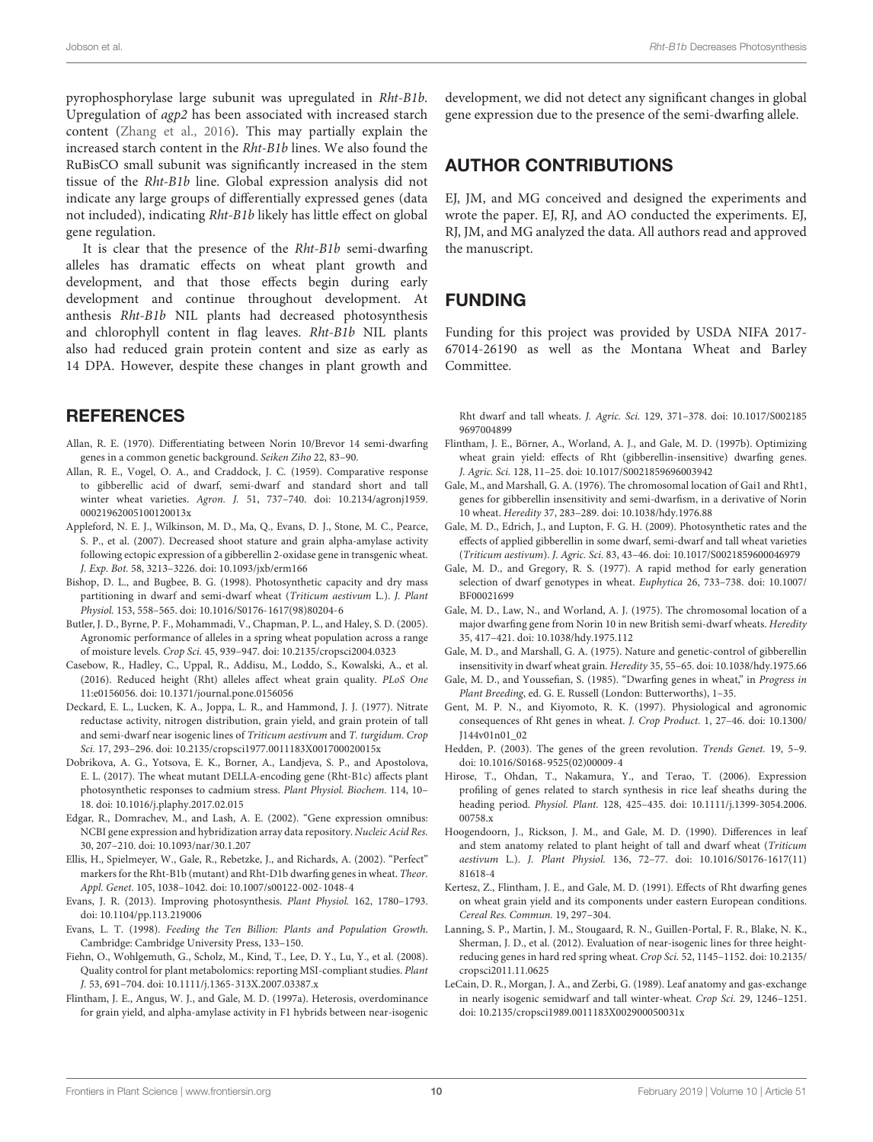pyrophosphorylase large subunit was upregulated in Rht-B1b. Upregulation of agp2 has been associated with increased starch content [\(Zhang et al.,](#page-10-21) [2016\)](#page-10-21). This may partially explain the increased starch content in the Rht-B1b lines. We also found the RuBisCO small subunit was significantly increased in the stem tissue of the Rht-B1b line. Global expression analysis did not indicate any large groups of differentially expressed genes (data not included), indicating Rht-B1b likely has little effect on global gene regulation.

It is clear that the presence of the Rht-B1b semi-dwarfing alleles has dramatic effects on wheat plant growth and development, and that those effects begin during early development and continue throughout development. At anthesis Rht-B1b NIL plants had decreased photosynthesis and chlorophyll content in flag leaves. Rht-B1b NIL plants also had reduced grain protein content and size as early as 14 DPA. However, despite these changes in plant growth and

## **REFERENCES**

- <span id="page-9-3"></span>Allan, R. E. (1970). Differentiating between Norin 10/Brevor 14 semi-dwarfing genes in a common genetic background. Seiken Ziho 22, 83–90.
- <span id="page-9-2"></span>Allan, R. E., Vogel, O. A., and Craddock, J. C. (1959). Comparative response to gibberellic acid of dwarf, semi-dwarf and standard short and tall winter wheat varieties. Agron. J. 51, 737–740. [doi: 10.2134/agronj1959.](https://doi.org/10.2134/agronj1959.00021962005100120013x) [00021962005100120013x](https://doi.org/10.2134/agronj1959.00021962005100120013x)
- <span id="page-9-15"></span>Appleford, N. E. J., Wilkinson, M. D., Ma, Q., Evans, D. J., Stone, M. C., Pearce, S. P., et al. (2007). Decreased shoot stature and grain alpha-amylase activity following ectopic expression of a gibberellin 2-oxidase gene in transgenic wheat. J. Exp. Bot. 58, 3213–3226. [doi: 10.1093/jxb/erm166](https://doi.org/10.1093/jxb/erm166)
- <span id="page-9-19"></span>Bishop, D. L., and Bugbee, B. G. (1998). Photosynthetic capacity and dry mass partitioning in dwarf and semi-dwarf wheat (Triticum aestivum L.). J. Plant Physiol. 153, 558–565. [doi: 10.1016/S0176-1617\(98\)80204-6](https://doi.org/10.1016/S0176-1617(98)80204-6)
- <span id="page-9-27"></span>Butler, J. D., Byrne, P. F., Mohammadi, V., Chapman, P. L., and Haley, S. D. (2005). Agronomic performance of alleles in a spring wheat population across a range of moisture levels. Crop Sci. 45, 939–947. [doi: 10.2135/cropsci2004.0323](https://doi.org/10.2135/cropsci2004.0323)
- <span id="page-9-12"></span>Casebow, R., Hadley, C., Uppal, R., Addisu, M., Loddo, S., Kowalski, A., et al. (2016). Reduced height (Rht) alleles affect wheat grain quality. PLoS One 11:e0156056. [doi: 10.1371/journal.pone.0156056](https://doi.org/10.1371/journal.pone.0156056)
- <span id="page-9-16"></span>Deckard, E. L., Lucken, K. A., Joppa, L. R., and Hammond, J. J. (1977). Nitrate reductase activity, nitrogen distribution, grain yield, and grain protein of tall and semi-dwarf near isogenic lines of Triticum aestivum and T. turgidum. Crop Sci. 17, 293–296. [doi: 10.2135/cropsci1977.0011183X001700020015x](https://doi.org/10.2135/cropsci1977.0011183X001700020015x)
- <span id="page-9-21"></span>Dobrikova, A. G., Yotsova, E. K., Borner, A., Landjeva, S. P., and Apostolova, E. L. (2017). The wheat mutant DELLA-encoding gene (Rht-B1c) affects plant photosynthetic responses to cadmium stress. Plant Physiol. Biochem. 114, 10– 18. [doi: 10.1016/j.plaphy.2017.02.015](https://doi.org/10.1016/j.plaphy.2017.02.015)
- <span id="page-9-26"></span>Edgar, R., Domrachev, M., and Lash, A. E. (2002). "Gene expression omnibus: NCBI gene expression and hybridization array data repository. Nucleic Acid Res. 30, 207–210. [doi: 10.1093/nar/30.1.207](https://doi.org/10.1093/nar/30.1.207)
- <span id="page-9-23"></span>Ellis, H., Spielmeyer, W., Gale, R., Rebetzke, J., and Richards, A. (2002). "Perfect" markers for the Rht-B1b (mutant) and Rht-D1b dwarfing genes in wheat. Theor. Appl. Genet. 105, 1038–1042. [doi: 10.1007/s00122-002-1048-4](https://doi.org/10.1007/s00122-002-1048-4)
- <span id="page-9-22"></span>Evans, J. R. (2013). Improving photosynthesis. Plant Physiol. 162, 1780–1793. [doi: 10.1104/pp.113.219006](https://doi.org/10.1104/pp.113.219006)
- <span id="page-9-1"></span>Evans, L. T. (1998). Feeding the Ten Billion: Plants and Population Growth. Cambridge: Cambridge University Press, 133–150.
- <span id="page-9-25"></span>Fiehn, O., Wohlgemuth, G., Scholz, M., Kind, T., Lee, D. Y., Lu, Y., et al. (2008). Quality control for plant metabolomics: reporting MSI-compliant studies. Plant J. 53, 691–704. [doi: 10.1111/j.1365-313X.2007.03387.x](https://doi.org/10.1111/j.1365-313X.2007.03387.x)
- <span id="page-9-13"></span>Flintham, J. E., Angus, W. J., and Gale, M. D. (1997a). Heterosis, overdominance for grain yield, and alpha-amylase activity in F1 hybrids between near-isogenic

development, we did not detect any significant changes in global gene expression due to the presence of the semi-dwarfing allele.

## AUTHOR CONTRIBUTIONS

EJ, JM, and MG conceived and designed the experiments and wrote the paper. EJ, RJ, and AO conducted the experiments. EJ, RJ, JM, and MG analyzed the data. All authors read and approved the manuscript.

# FUNDING

Funding for this project was provided by USDA NIFA 2017- 67014-26190 as well as the Montana Wheat and Barley Committee.

Rht dwarf and tall wheats. J. Agric. Sci. 129, 371–378. [doi: 10.1017/S002185](https://doi.org/10.1017/S0021859697004899) [9697004899](https://doi.org/10.1017/S0021859697004899)

- <span id="page-9-8"></span>Flintham, J. E., Börner, A., Worland, A. J., and Gale, M. D. (1997b). Optimizing wheat grain yield: effects of Rht (gibberellin-insensitive) dwarfing genes. J. Agric. Sci. 128, 11–25. [doi: 10.1017/S0021859696003942](https://doi.org/10.1017/S0021859696003942)
- <span id="page-9-7"></span>Gale, M., and Marshall, G. A. (1976). The chromosomal location of Gai1 and Rht1, genes for gibberellin insensitivity and semi-dwarfism, in a derivative of Norin 10 wheat. Heredity 37, 283–289. [doi: 10.1038/hdy.1976.88](https://doi.org/10.1038/hdy.1976.88)
- <span id="page-9-20"></span>Gale, M. D., Edrich, J., and Lupton, F. G. H. (2009). Photosynthetic rates and the effects of applied gibberellin in some dwarf, semi-dwarf and tall wheat varieties (Triticum aestivum). J. Agric. Sci. 83, 43–46. [doi: 10.1017/S0021859600046979](https://doi.org/10.1017/S0021859600046979)
- <span id="page-9-4"></span>Gale, M. D., and Gregory, R. S. (1977). A rapid method for early generation selection of dwarf genotypes in wheat. Euphytica 26, 733–738. [doi: 10.1007/](https://doi.org/10.1007/BF00021699) [BF00021699](https://doi.org/10.1007/BF00021699)
- <span id="page-9-5"></span>Gale, M. D., Law, N., and Worland, A. J. (1975). The chromosomal location of a major dwarfing gene from Norin 10 in new British semi-dwarf wheats. Heredity 35, 417–421. [doi: 10.1038/hdy.1975.112](https://doi.org/10.1038/hdy.1975.112)
- <span id="page-9-6"></span>Gale, M. D., and Marshall, G. A. (1975). Nature and genetic-control of gibberellin insensitivity in dwarf wheat grain. Heredity 35, 55–65. [doi: 10.1038/hdy.1975.66](https://doi.org/10.1038/hdy.1975.66)
- <span id="page-9-14"></span>Gale, M. D., and Youssefian, S. (1985). "Dwarfing genes in wheat," in Progress in Plant Breeding, ed. G. E. Russell (London: Butterworths), 1–35.
- <span id="page-9-11"></span>Gent, M. P. N., and Kiyomoto, R. K. (1997). Physiological and agronomic consequences of Rht genes in wheat. J. Crop Product. 1, 27–46. [doi: 10.1300/](https://doi.org/10.1300/J144v01n01_02) [J144v01n01\\_02](https://doi.org/10.1300/J144v01n01_02)
- <span id="page-9-0"></span>Hedden, P. (2003). The genes of the green revolution. Trends Genet. 19, 5–9. [doi: 10.1016/S0168-9525\(02\)00009-4](https://doi.org/10.1016/S0168-9525(02)00009-4)
- <span id="page-9-24"></span>Hirose, T., Ohdan, T., Nakamura, Y., and Terao, T. (2006). Expression profiling of genes related to starch synthesis in rice leaf sheaths during the heading period. Physiol. Plant. 128, 425–435. [doi: 10.1111/j.1399-3054.2006.](https://doi.org/10.1111/j.1399-3054.2006.00758.x) [00758.x](https://doi.org/10.1111/j.1399-3054.2006.00758.x)
- <span id="page-9-10"></span>Hoogendoorn, J., Rickson, J. M., and Gale, M. D. (1990). Differences in leaf and stem anatomy related to plant height of tall and dwarf wheat (Triticum aestivum L.). J. Plant Physiol. 136, 72–77. [doi: 10.1016/S0176-1617\(11\)](https://doi.org/10.1016/S0176-1617(11)81618-4) [81618-4](https://doi.org/10.1016/S0176-1617(11)81618-4)
- <span id="page-9-17"></span>Kertesz, Z., Flintham, J. E., and Gale, M. D. (1991). Effects of Rht dwarfing genes on wheat grain yield and its components under eastern European conditions. Cereal Res. Commun. 19, 297–304.
- <span id="page-9-9"></span>Lanning, S. P., Martin, J. M., Stougaard, R. N., Guillen-Portal, F. R., Blake, N. K., Sherman, J. D., et al. (2012). Evaluation of near-isogenic lines for three heightreducing genes in hard red spring wheat. Crop Sci. 52, 1145–1152. [doi: 10.2135/](https://doi.org/10.2135/cropsci2011.11.0625) [cropsci2011.11.0625](https://doi.org/10.2135/cropsci2011.11.0625)
- <span id="page-9-18"></span>LeCain, D. R., Morgan, J. A., and Zerbi, G. (1989). Leaf anatomy and gas-exchange in nearly isogenic semidwarf and tall winter-wheat. Crop Sci. 29, 1246–1251. [doi: 10.2135/cropsci1989.0011183X002900050031x](https://doi.org/10.2135/cropsci1989.0011183X002900050031x)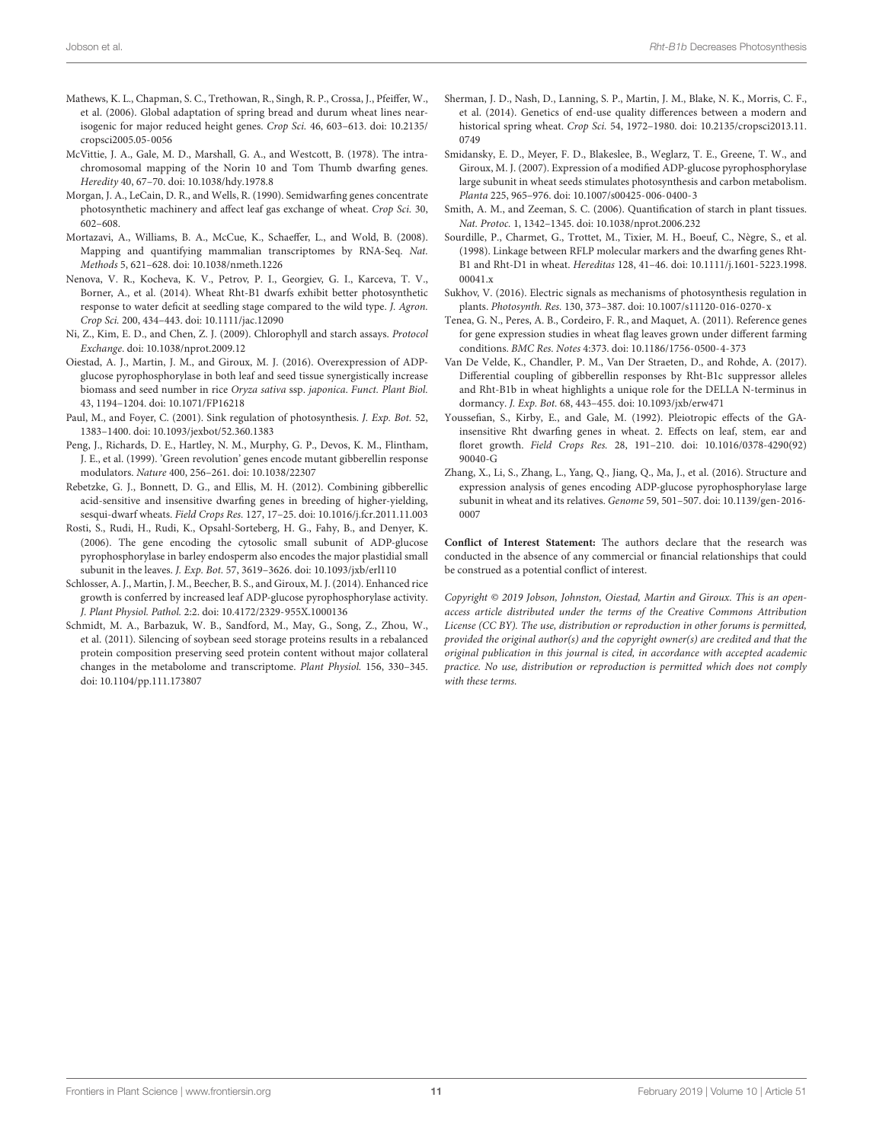- <span id="page-10-18"></span>Mathews, K. L., Chapman, S. C., Trethowan, R., Singh, R. P., Crossa, J., Pfeiffer, W., et al. (2006). Global adaptation of spring bread and durum wheat lines nearisogenic for major reduced height genes. Crop Sci. 46, 603–613. [doi: 10.2135/](https://doi.org/10.2135/cropsci2005.05-0056) [cropsci2005.05-0056](https://doi.org/10.2135/cropsci2005.05-0056)
- <span id="page-10-0"></span>McVittie, J. A., Gale, M. D., Marshall, G. A., and Westcott, B. (1978). The intrachromosomal mapping of the Norin 10 and Tom Thumb dwarfing genes. Heredity 40, 67–70. [doi: 10.1038/hdy.1978.8](https://doi.org/10.1038/hdy.1978.8)
- <span id="page-10-7"></span>Morgan, J. A., LeCain, D. R., and Wells, R. (1990). Semidwarfing genes concentrate photosynthetic machinery and affect leaf gas exchange of wheat. Crop Sci. 30, 602–608.
- <span id="page-10-15"></span>Mortazavi, A., Williams, B. A., McCue, K., Schaeffer, L., and Wold, B. (2008). Mapping and quantifying mammalian transcriptomes by RNA-Seq. Nat. Methods 5, 621–628. [doi: 10.1038/nmeth.1226](https://doi.org/10.1038/nmeth.1226)
- <span id="page-10-8"></span>Nenova, V. R., Kocheva, K. V., Petrov, P. I., Georgiev, G. I., Karceva, T. V., Borner, A., et al. (2014). Wheat Rht-B1 dwarfs exhibit better photosynthetic response to water deficit at seedling stage compared to the wild type. J. Agron. Crop Sci. 200, 434–443. [doi: 10.1111/jac.12090](https://doi.org/10.1111/jac.12090)
- <span id="page-10-11"></span>Ni, Z., Kim, E. D., and Chen, Z. J. (2009). Chlorophyll and starch assays. Protocol Exchange. [doi: 10.1038/nprot.2009.12](https://doi.org/10.1038/nprot.2009.12)
- <span id="page-10-10"></span>Oiestad, A. J., Martin, J. M., and Giroux, M. J. (2016). Overexpression of ADPglucose pyrophosphorylase in both leaf and seed tissue synergistically increase biomass and seed number in rice Oryza sativa ssp. japonica. Funct. Plant Biol. 43, 1194–1204. [doi: 10.1071/FP16218](https://doi.org/10.1071/FP16218)
- <span id="page-10-19"></span>Paul, M., and Foyer, C. (2001). Sink regulation of photosynthesis. J. Exp. Bot. 52, 1383–1400. [doi: 10.1093/jexbot/52.360.1383](https://doi.org/10.1093/jexbot/52.360.1383)
- <span id="page-10-2"></span>Peng, J., Richards, D. E., Hartley, N. M., Murphy, G. P., Devos, K. M., Flintham, J. E., et al. (1999). 'Green revolution' genes encode mutant gibberellin response modulators. Nature 400, 256–261. [doi: 10.1038/22307](https://doi.org/10.1038/22307)
- <span id="page-10-3"></span>Rebetzke, G. J., Bonnett, D. G., and Ellis, M. H. (2012). Combining gibberellic acid-sensitive and insensitive dwarfing genes in breeding of higher-yielding, sesqui-dwarf wheats. Field Crops Res. 127, 17–25. [doi: 10.1016/j.fcr.2011.11.003](https://doi.org/10.1016/j.fcr.2011.11.003)
- <span id="page-10-14"></span>Rosti, S., Rudi, H., Rudi, K., Opsahl-Sorteberg, H. G., Fahy, B., and Denyer, K. (2006). The gene encoding the cytosolic small subunit of ADP-glucose pyrophosphorylase in barley endosperm also encodes the major plastidial small subunit in the leaves. J. Exp. Bot. 57, 3619–3626. [doi: 10.1093/jxb/erl110](https://doi.org/10.1093/jxb/erl110)
- <span id="page-10-13"></span>Schlosser, A. J., Martin, J. M., Beecher, B. S., and Giroux, M. J. (2014). Enhanced rice growth is conferred by increased leaf ADP-glucose pyrophosphorylase activity. J. Plant Physiol. Pathol. 2:2. [doi: 10.4172/2329-955X.1000136](https://doi.org/10.4172/2329-955X.1000136)
- <span id="page-10-17"></span>Schmidt, M. A., Barbazuk, W. B., Sandford, M., May, G., Song, Z., Zhou, W., et al. (2011). Silencing of soybean seed storage proteins results in a rebalanced protein composition preserving seed protein content without major collateral changes in the metabolome and transcriptome. Plant Physiol. 156, 330–345. [doi: 10.1104/pp.111.173807](https://doi.org/10.1104/pp.111.173807)
- <span id="page-10-6"></span>Sherman, J. D., Nash, D., Lanning, S. P., Martin, J. M., Blake, N. K., Morris, C. F., et al. (2014). Genetics of end-use quality differences between a modern and historical spring wheat. Crop Sci. 54, 1972–1980. [doi: 10.2135/cropsci2013.11.](https://doi.org/10.2135/cropsci2013.11.0749) [0749](https://doi.org/10.2135/cropsci2013.11.0749)
- <span id="page-10-9"></span>Smidansky, E. D., Meyer, F. D., Blakeslee, B., Weglarz, T. E., Greene, T. W., and Giroux, M. J. (2007). Expression of a modified ADP-glucose pyrophosphorylase large subunit in wheat seeds stimulates photosynthesis and carbon metabolism. Planta 225, 965–976. [doi: 10.1007/s00425-006-0400-3](https://doi.org/10.1007/s00425-006-0400-3)
- <span id="page-10-12"></span>Smith, A. M., and Zeeman, S. C. (2006). Quantification of starch in plant tissues. Nat. Protoc. 1, 1342–1345. [doi: 10.1038/nprot.2006.232](https://doi.org/10.1038/nprot.2006.232)
- <span id="page-10-1"></span>Sourdille, P., Charmet, G., Trottet, M., Tixier, M. H., Boeuf, C., Nègre, S., et al. (1998). Linkage between RFLP molecular markers and the dwarfing genes Rht-B1 and Rht-D1 in wheat. Hereditas 128, 41–46. [doi: 10.1111/j.1601-5223.1998.](https://doi.org/10.1111/j.1601-5223.1998.00041.x) [00041.x](https://doi.org/10.1111/j.1601-5223.1998.00041.x)
- <span id="page-10-20"></span>Sukhov, V. (2016). Electric signals as mechanisms of photosynthesis regulation in plants. Photosynth. Res. 130, 373–387. [doi: 10.1007/s11120-016-0270-x](https://doi.org/10.1007/s11120-016-0270-x)
- <span id="page-10-16"></span>Tenea, G. N., Peres, A. B., Cordeiro, F. R., and Maquet, A. (2011). Reference genes for gene expression studies in wheat flag leaves grown under different farming conditions. BMC Res. Notes 4:373. [doi: 10.1186/1756-0500-4-373](https://doi.org/10.1186/1756-0500-4-373)
- <span id="page-10-4"></span>Van De Velde, K., Chandler, P. M., Van Der Straeten, D., and Rohde, A. (2017). Differential coupling of gibberellin responses by Rht-B1c suppressor alleles and Rht-B1b in wheat highlights a unique role for the DELLA N-terminus in dormancy. J. Exp. Bot. 68, 443–455. [doi: 10.1093/jxb/erw471](https://doi.org/10.1093/jxb/erw471)
- <span id="page-10-5"></span>Youssefian, S., Kirby, E., and Gale, M. (1992). Pleiotropic effects of the GAinsensitive Rht dwarfing genes in wheat. 2. Effects on leaf, stem, ear and floret growth. Field Crops Res. 28, 191–210. [doi: 10.1016/0378-4290\(92\)](https://doi.org/10.1016/0378-4290(92)90040-G) [90040-G](https://doi.org/10.1016/0378-4290(92)90040-G)
- <span id="page-10-21"></span>Zhang, X., Li, S., Zhang, L., Yang, Q., Jiang, Q., Ma, J., et al. (2016). Structure and expression analysis of genes encoding ADP-glucose pyrophosphorylase large subunit in wheat and its relatives. Genome 59, 501–507. [doi: 10.1139/gen-2016-](https://doi.org/10.1139/gen-2016-0007) [0007](https://doi.org/10.1139/gen-2016-0007)

**Conflict of Interest Statement:** The authors declare that the research was conducted in the absence of any commercial or financial relationships that could be construed as a potential conflict of interest.

Copyright © 2019 Jobson, Johnston, Oiestad, Martin and Giroux. This is an openaccess article distributed under the terms of the [Creative](http://creativecommons.org/licenses/by/4.0/) [Commons](http://creativecommons.org/licenses/by/4.0/) [Attribution](http://creativecommons.org/licenses/by/4.0/) [License](http://creativecommons.org/licenses/by/4.0/) [\(CC BY\).](http://creativecommons.org/licenses/by/4.0/) The use, distribution or reproduction in other forums is permitted, provided the original author(s) and the copyright owner(s) are credited and that the original publication in this journal is cited, in accordance with accepted academic practice. No use, distribution or reproduction is permitted which does not comply with these terms.